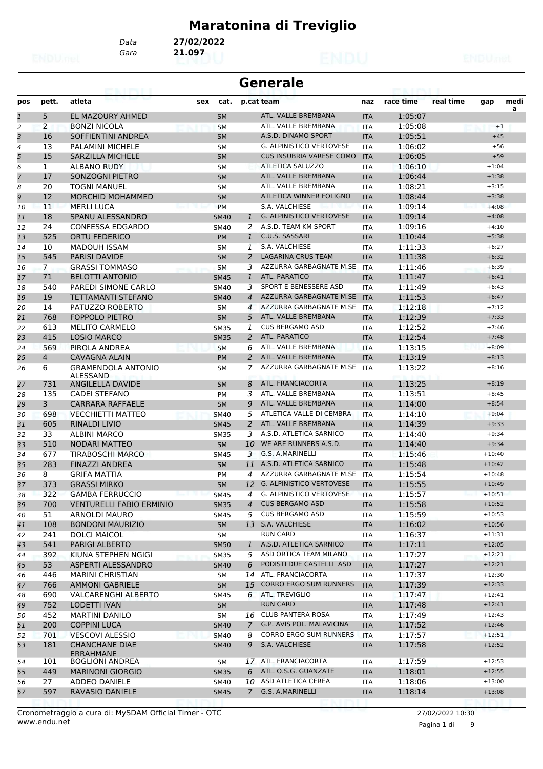# **Maratonina di Treviglio**

*Gara* **21.097** *Data* **27/02/2022**

| <b>Generale</b><br>eairtí |                |                                              |             |                |                                                            |            |           |           |          |           |  |  |
|---------------------------|----------------|----------------------------------------------|-------------|----------------|------------------------------------------------------------|------------|-----------|-----------|----------|-----------|--|--|
| pos                       | pett.          | atleta                                       | sex<br>cat. |                | p.cat team                                                 | naz        | race time | real time | gap      | medi<br>a |  |  |
| $\mathbf{1}$              | 5              | EL MAZOURY AHMED                             | <b>SM</b>   |                | ATL. VALLE BREMBANA                                        | <b>ITA</b> | 1:05:07   |           |          |           |  |  |
| $\overline{a}$            | 2              | <b>BONZI NICOLA</b>                          | <b>SM</b>   |                | ATL. VALLE BREMBANA                                        | <b>ITA</b> | 1:05:08   |           | $+1$     |           |  |  |
| 3                         | 16             | SOFFIENTINI ANDREA                           | <b>SM</b>   |                | A.S.D. DINAMO SPORT                                        | <b>ITA</b> | 1:05:51   |           | $+45$    |           |  |  |
| $\overline{a}$            | 13             | <b>PALAMINI MICHELE</b>                      | <b>SM</b>   |                | <b>G. ALPINISTICO VERTOVESE</b>                            | <b>ITA</b> | 1:06:02   |           | $+56$    |           |  |  |
| 5                         | 15             | SARZILLA MICHELE                             | <b>SM</b>   |                | <b>CUS INSUBRIA VARESE COMO</b>                            | <b>ITA</b> | 1:06:05   |           | $+59$    |           |  |  |
| 6                         | 1              | <b>ALBANO RUDY</b>                           | <b>SM</b>   |                | ATLETICA SALUZZO                                           | ITA        | 1:06:10   |           | $+1:04$  |           |  |  |
| $\overline{7}$            | 17             | SONZOGNI PIETRO                              | <b>SM</b>   |                | ATL. VALLE BREMBANA                                        | <b>ITA</b> | 1:06:44   |           | $+1:38$  |           |  |  |
| 8                         | 20             | <b>TOGNI MANUEL</b>                          | <b>SM</b>   |                | ATL. VALLE BREMBANA                                        | <b>ITA</b> | 1:08:21   |           | $+3:15$  |           |  |  |
| 9                         | 12             | <b>MORCHID MOHAMMED</b>                      | <b>SM</b>   |                | ATLETICA WINNER FOLIGNO                                    | <b>ITA</b> | 1:08:44   |           | $+3:38$  |           |  |  |
| 10                        | 11             | <b>MERLI LUCA</b>                            | <b>PM</b>   |                | S.A. VALCHIESE                                             | <b>ITA</b> | 1:09:14   |           | $+4:08$  |           |  |  |
| 11                        | 18             | SPANU ALESSANDRO                             | <b>SM40</b> | 1              | <b>G. ALPINISTICO VERTOVESE</b>                            | <b>ITA</b> | 1:09:14   |           | $+4:08$  |           |  |  |
| 12                        | 24             | <b>CONFESSA EDGARDO</b>                      | <b>SM40</b> | 2              | A.S.D. TEAM KM SPORT                                       | <b>ITA</b> | 1:09:16   |           | $+4:10$  |           |  |  |
| 13                        | 525            | <b>ORTU FEDERICO</b>                         | <b>PM</b>   | $\mathbf{1}$   | C.U.S. SASSARI                                             | <b>ITA</b> | 1:10:44   |           | $+5:38$  |           |  |  |
| 14                        | 10             | <b>MADOUH ISSAM</b>                          | <b>SM</b>   | 1              | S.A. VALCHIESE                                             | <b>ITA</b> | 1:11:33   |           | $+6:27$  |           |  |  |
| 15                        | 545            | <b>PARISI DAVIDE</b>                         | <b>SM</b>   | 2              | <b>LAGARINA CRUS TEAM</b>                                  | <b>ITA</b> | 1:11:38   |           | $+6:32$  |           |  |  |
| 16                        | $\overline{7}$ | <b>GRASSI TOMMASO</b>                        | <b>SM</b>   | 3              | AZZURRA GARBAGNATE M.SE                                    | <b>ITA</b> | 1:11:46   |           | $+6:39$  |           |  |  |
| 17                        | 71             | <b>BELOTTI ANTONIO</b>                       | <b>SM45</b> | $\mathbf{1}$   | ATL. PARATICO                                              | <b>ITA</b> | 1:11:47   |           | $+6:41$  |           |  |  |
| 18                        | 540            | PAREDI SIMONE CARLO                          | <b>SM40</b> | 3              | SPORT E BENESSERE ASD                                      | ITA        | 1:11:49   |           | $+6:43$  |           |  |  |
| 19                        | 19             | <b>TETTAMANTI STEFANO</b>                    | <b>SM40</b> | $\overline{4}$ | AZZURRA GARBAGNATE M.SE                                    | <b>ITA</b> | 1:11:53   |           | $+6:47$  |           |  |  |
| 20                        | 14             | PATUZZO ROBERTO                              | <b>SM</b>   | 4              | AZZURRA GARBAGNATE M.SE                                    | <b>ITA</b> | 1:12:18   |           | $+7:12$  |           |  |  |
| 21                        | 768            | <b>FOPPOLO PIETRO</b>                        | <b>SM</b>   | 5              | ATL. VALLE BREMBANA                                        | <b>ITA</b> | 1:12:39   |           | $+7:33$  |           |  |  |
| 22                        | 613            | <b>MELITO CARMELO</b>                        | <b>SM35</b> | 1              | <b>CUS BERGAMO ASD</b>                                     | <b>ITA</b> | 1:12:52   |           | $+7:46$  |           |  |  |
| 23                        | 415            | <b>LOSIO MARCO</b>                           | <b>SM35</b> | 2              | ATL. PARATICO                                              | <b>ITA</b> | 1:12:54   |           | $+7:48$  |           |  |  |
| 24                        | 569            | PIROLA ANDREA                                | <b>SM</b>   | 6              | ATL. VALLE BREMBANA                                        | <b>ITA</b> | 1:13:15   |           | $+8:09$  |           |  |  |
| 25                        | $\overline{4}$ | <b>CAVAGNA ALAIN</b>                         | <b>PM</b>   | $\overline{2}$ | ATL. VALLE BREMBANA                                        | <b>ITA</b> | 1:13:19   |           | $+8:13$  |           |  |  |
| 26                        | 6              | <b>GRAMENDOLA ANTONIO</b><br><b>ALESSAND</b> | <b>SM</b>   | 7              | AZZURRA GARBAGNATE M.SE                                    | <b>ITA</b> | 1:13:22   |           | $+8:16$  |           |  |  |
| 27                        | 731            | ANGILELLA DAVIDE                             | <b>SM</b>   | 8              | ATL. FRANCIACORTA                                          | <b>ITA</b> | 1:13:25   |           | $+8:19$  |           |  |  |
| 28                        | 135            | <b>CADEI STEFANO</b>                         | <b>PM</b>   | 3              | ATL. VALLE BREMBANA                                        | <b>ITA</b> | 1:13:51   |           | $+8:45$  |           |  |  |
| 29                        | 3              | <b>CARRARA RAFFAELE</b>                      | <b>SM</b>   | 9              | ATL. VALLE BREMBANA                                        | <b>ITA</b> | 1:14:00   |           | $+8:54$  |           |  |  |
| 30                        | 698            | <b>VECCHIETTI MATTEO</b>                     | <b>SM40</b> | 5              | ATLETICA VALLE DI CEMBRA                                   | <b>ITA</b> | 1:14:10   |           | $+9:04$  |           |  |  |
| 31                        | 605            | <b>RINALDI LIVIO</b>                         | <b>SM45</b> | $\overline{2}$ | ATL. VALLE BREMBANA                                        | <b>ITA</b> | 1:14:39   |           | $+9:33$  |           |  |  |
| 32                        | 33             | <b>ALBINI MARCO</b>                          | <b>SM35</b> | 3              | A.S.D. ATLETICA SARNICO                                    | ITA        | 1:14:40   |           | $+9:34$  |           |  |  |
| 33                        | 510            | <b>NODARI MATTEO</b>                         | <b>SM</b>   | 10             | WE ARE RUNNERS A.S.D.                                      | <b>ITA</b> | 1:14:40   |           | $+9:34$  |           |  |  |
| 34                        | 677            | TIRABOSCHI MARCO                             | SM45        | 3              | G.S. A.MARINELLI                                           | ITA        | 1:15:46   |           | $+10:40$ |           |  |  |
| 35                        | 283            | <b>FINAZZI ANDREA</b>                        | <b>SM</b>   | 11             | A.S.D. ATLETICA SARNICO                                    | <b>ITA</b> | 1:15:48   |           | $+10:42$ |           |  |  |
| 36                        | 8              | <b>GRIFA MATTIA</b>                          | <b>PM</b>   | 4              | AZZURRA GARBAGNATE M.SE                                    | <b>ITA</b> | 1:15:54   |           | $+10:48$ |           |  |  |
| 37                        | 373            | <b>GRASSI MIRKO</b>                          | <b>SM</b>   | 12             | <b>G. ALPINISTICO VERTOVESE</b>                            | <b>ITA</b> | 1:15:55   |           | $+10:49$ |           |  |  |
| 38                        | 322            | <b>GAMBA FERRUCCIO</b>                       | <b>SM45</b> | 4              | G. ALPINISTICO VERTOVESE                                   | ITA        | 1:15:57   |           | $+10:51$ |           |  |  |
| 39                        | 700            | <b>VENTURELLI FABIO ERMINIO</b>              | <b>SM35</b> | $\overline{4}$ | <b>CUS BERGAMO ASD</b>                                     | <b>ITA</b> | 1:15:58   |           | $+10:52$ |           |  |  |
| 40                        | 51             | ARNOLDI MAURO                                | <b>SM45</b> | 5              | <b>CUS BERGAMO ASD</b>                                     | ITA        | 1:15:59   |           | $+10:53$ |           |  |  |
| 41                        | 108            | <b>BONDONI MAURIZIO</b>                      | <b>SM</b>   |                | 13 S.A. VALCHIESE                                          | <b>ITA</b> | 1:16:02   |           | $+10:56$ |           |  |  |
| 42                        | 241            | DOLCI MAICOL                                 | SM          |                | <b>RUN CARD</b>                                            | ITA        | 1:16:37   |           | $+11:31$ |           |  |  |
| 43                        | 541            | <b>PARIGI ALBERTO</b>                        | <b>SM50</b> | $\mathbf{1}$   | A.S.D. ATLETICA SARNICO                                    | <b>ITA</b> | 1:17:11   |           | $+12:05$ |           |  |  |
| 44                        | 392            | KIUNA STEPHEN NGIGI                          | <b>SM35</b> | 5              | ASD ORTICA TEAM MILANO                                     | ITA        | 1:17:27   |           | $+12:21$ |           |  |  |
| 45                        | 53             | ASPERTI ALESSANDRO                           | <b>SM40</b> | 6              | PODISTI DUE CASTELLI ASD                                   | <b>ITA</b> | 1:17:27   |           | $+12:21$ |           |  |  |
| 46                        | 446            | <b>MARINI CHRISTIAN</b>                      | SM          | 14             | ATL. FRANCIACORTA<br>15 CORRO ERGO SUM RUNNERS             | ITA        | 1:17:37   |           | $+12:30$ |           |  |  |
| 47                        | 766            | <b>AMMONI GABRIELE</b>                       | <b>SM</b>   |                | ATL. TREVIGLIO                                             | <b>ITA</b> | 1:17:39   |           | $+12:33$ |           |  |  |
| 48                        | 690            | <b>VALCARENGHI ALBERTO</b>                   | SM45        | 6              |                                                            | ITA        | 1:17:47   |           | $+12:41$ |           |  |  |
| 49                        | 752<br>452     | <b>LODETTI IVAN</b>                          | <b>SM</b>   |                | <b>RUN CARD</b><br>16 CLUB PANTERA ROSA                    | <b>ITA</b> | 1:17:48   |           | $+12:41$ |           |  |  |
| 50                        |                | <b>MARTINI DANILO</b>                        | SM          |                |                                                            | ITA        | 1:17:49   |           | $+12:43$ |           |  |  |
| 51                        | 200            | <b>COPPINI LUCA</b>                          | <b>SM40</b> | $\overline{7}$ | G.P. AVIS POL. MALAVICINA<br><b>CORRO ERGO SUM RUNNERS</b> | <b>ITA</b> | 1:17:52   |           | $+12:46$ |           |  |  |
| 52                        | 701            | <b>VESCOVI ALESSIO</b>                       | <b>SM40</b> | 8              | S.A. VALCHIESE                                             | ITA        | 1:17:57   |           | $+12:51$ |           |  |  |
| 53                        | 181            | <b>CHANCHANE DIAE</b><br>ERRAHMANE           | <b>SM40</b> | 9              |                                                            | <b>ITA</b> | 1:17:58   |           | $+12:52$ |           |  |  |
| 54                        | 101            | <b>BOGLIONI ANDREA</b>                       | SM          |                | 17 ATL. FRANCIACORTA                                       | <b>ITA</b> | 1:17:59   |           | $+12:53$ |           |  |  |
| 55                        | 449            | <b>MARINONI GIORGIO</b>                      | <b>SM35</b> | 6              | ATL. O.S.G. GUANZATE                                       | <b>ITA</b> | 1:18:01   |           | $+12:55$ |           |  |  |
| 56                        | 27             | ADDEO DANIELE                                | SM40        |                | 10 ASD ATLETICA CEREA                                      | ITA        | 1:18:06   |           | $+13:00$ |           |  |  |
| 57                        | 597            | RAVASIO DANIELE                              | <b>SM45</b> |                | 7 G.S. A.MARINELLI                                         | <b>ITA</b> | 1:18:14   |           | $+13:08$ |           |  |  |

www.endu.net Cronometraggio a cura di: MySDAM Official Timer - OTC 27/02/2022 10:30

Pagina 1 di 9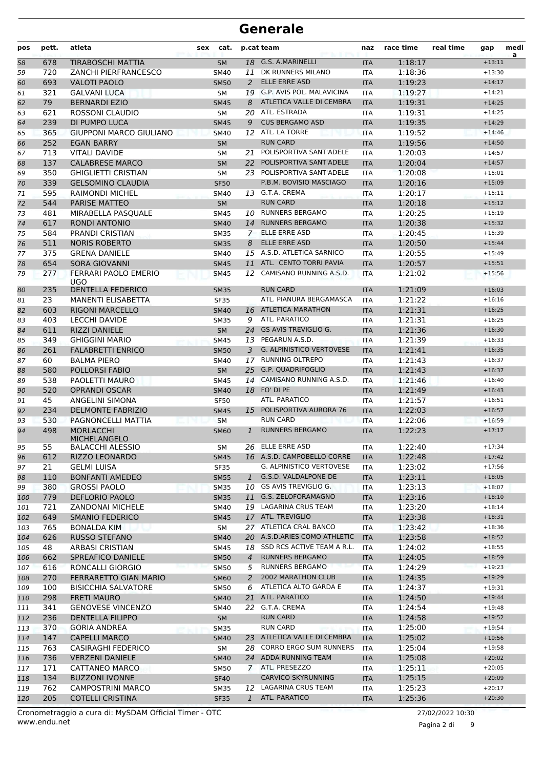| 18 G.S. A.MARINELLI<br><b>TIRABOSCHI MATTIA</b><br>1:18:17<br>$+13:11$<br>58<br>678<br><b>SM</b><br><b>ITA</b><br>DK RUNNERS MILANO<br>720<br><b>ZANCHI PIERFRANCESCO</b><br>1:18:36<br>59<br>11<br>$+13:30$<br><b>SM40</b><br><b>ITA</b><br><b>ELLE ERRE ASD</b><br>693<br><b>VALOTI PAOLO</b><br>2<br>1:19:23<br>$+14:17$<br>60<br><b>SM50</b><br><b>ITA</b><br><b>G.P. AVIS POL. MALAVICINA</b><br>321<br><b>GALVANI LUCA</b><br>1:19:27<br>$+14:21$<br>61<br>19<br><b>ITA</b><br><b>SM</b><br>ATLETICA VALLE DI CEMBRA<br>79<br><b>BERNARDI EZIO</b><br><b>SM45</b><br>8<br><b>ITA</b><br>1:19:31<br>$+14:25$<br>62<br>20 ATL. ESTRADA<br>1:19:31<br>621<br>ROSSONI CLAUDIO<br>$+14:25$<br>63<br>SM<br><b>ITA</b><br><b>CUS BERGAMO ASD</b><br>239<br>DI PUMPO LUCA<br>9<br>1:19:35<br>$+14:29$<br><b>SM45</b><br><b>ITA</b><br>64<br>12 ATL. LA TORRE<br>365<br><b>GIUPPONI MARCO GIULIANO</b><br>1:19:52<br><b>SM40</b><br><b>ITA</b><br>$+14:46$<br>65<br><b>RUN CARD</b><br>252<br>1:19:56<br><b>EGAN BARRY</b><br><b>ITA</b><br>$+14:50$<br><b>SM</b><br>66<br>POLISPORTIVA SANT'ADELE<br>713<br><b>VITALI DAVIDE</b><br>1:20:03<br>$+14:57$<br>67<br>21<br><b>ITA</b><br><b>SM</b><br>POLISPORTIVA SANT'ADELE<br>137<br><b>CALABRESE MARCO</b><br>22<br>1:20:04<br><b>SM</b><br><b>ITA</b><br>$+14:57$<br>68<br>350<br>23 POLISPORTIVA SANT'ADELE<br><b>GHIGLIETTI CRISTIAN</b><br><b>SM</b><br><b>ITA</b><br>1:20:08<br>$+15:01$<br>69<br>P.B.M. BOVISIO MASCIAGO<br>339<br><b>GELSOMINO CLAUDIA</b><br>1:20:16<br>$+15:09$<br><b>SF50</b><br>70<br><b>ITA</b><br>595<br><b>RAIMONDI MICHEL</b><br>13 G.T.A. CREMA<br>1:20:17<br>71<br>$+15:11$<br><b>SM40</b><br>ITA<br><b>PARISE MATTEO</b><br><b>RUN CARD</b><br>544<br>1:20:18<br>$+15:12$<br><b>SM</b><br>72<br><b>ITA</b><br><b>RUNNERS BERGAMO</b><br>481<br>MIRABELLA PASQUALE<br>1:20:25<br>$+15:19$<br>73<br><b>SM45</b><br>10<br><b>ITA</b><br><b>RONDI ANTONIO</b><br><b>RUNNERS BERGAMO</b><br>617<br><b>SM40</b><br><b>ITA</b><br>1:20:38<br>$+15:32$<br>74<br>14<br>ELLE ERRE ASD<br>584<br>PRANDI CRISTIAN<br>1:20:45<br>$+15:39$<br>75<br><b>SM35</b><br>$\mathcal{I}$<br><b>ITA</b><br><b>ELLE ERRE ASD</b><br>511<br><b>NORIS ROBERTO</b><br>8<br>1:20:50<br>$+15:44$<br>76<br><b>SM35</b><br><b>ITA</b><br>375<br>15 A.S.D. ATLETICA SARNICO<br>1:20:55<br>77<br><b>GRENA DANIELE</b><br>SM40<br><b>ITA</b><br>$+15:49$<br>654<br>ATL. CENTO TORRI PAVIA<br><b>SORA GIOVANNI</b><br>1:20:57<br>11<br><b>ITA</b><br>$+15:51$<br>78<br><b>SM45</b><br>CAMISANO RUNNING A.S.D.<br>79<br>277<br>FERRARI PAOLO EMERIO<br>12<br>1:21:02<br>$+15:56$<br><b>SM45</b><br><b>ITA</b><br>UGO<br><b>RUN CARD</b><br>235<br><b>DENTELLA FEDERICO</b><br>1:21:09<br>$+16:03$<br><b>SM35</b><br>80<br><b>ITA</b><br>23<br><b>MANENTI ELISABETTA</b><br>ATL. PIANURA BERGAMASCA<br>1:21:22<br>$+16:16$<br>81<br><b>SF35</b><br><b>ITA</b><br>603<br><b>ATLETICA MARATHON</b><br>1:21:31<br><b>RIGONI MARCELLO</b><br>$+16:25$<br><b>SM40</b><br>16<br><b>ITA</b><br>82<br>9 ATL. PARATICO<br>403<br><b>LECCHI DAVIDE</b><br>1:21:31<br>$+16:25$<br>83<br><b>SM35</b><br><b>ITA</b><br>24 GS AVIS TREVIGLIO G.<br>611<br><b>RIZZI DANIELE</b><br>1:21:36<br><b>SM</b><br><b>ITA</b><br>84<br>$+16:30$<br>PEGARUN A.S.D.<br>349<br><b>GHIGGINI MARIO</b><br>1:21:39<br>$+16:33$<br>85<br><b>SM45</b><br>13<br><b>ITA</b><br>G. ALPINISTICO VERTOVESE<br>261<br><b>FALABRETTI ENRICO</b><br>1:21:41<br>$+16:35$<br><b>SM50</b><br>3<br><b>ITA</b><br>86<br><b>RUNNING OLTREPO'</b><br><b>BALMA PIERO</b><br>60<br>17<br>1:21:43<br>$+16:37$<br>87<br><b>SM40</b><br><b>ITA</b><br>POLLORSI FABIO<br>25 G.P. QUADRIFOGLIO<br>580<br>1:21:43<br><b>SM</b><br>$+16:37$<br>88<br><b>ITA</b><br>14 CAMISANO RUNNING A.S.D.<br>538<br>PAOLETTI MAURO<br>1:21:46<br>$+16:40$<br>89<br><b>SM45</b><br><b>ITA</b><br>520<br><b>OPRANDI OSCAR</b><br>18 FO' DI PE<br>1:21:49<br>90<br><b>SM40</b><br><b>ITA</b><br>$+16:43$<br>45<br>ATL. PARATICO<br>ANGELINI SIMONA<br>1:21:57<br>91<br>$+16:51$<br><b>SF50</b><br><b>ITA</b><br>POLISPORTIVA AURORA 76<br>234<br><b>DELMONTE FABRIZIO</b><br>1:22:03<br><b>SM45</b><br>$+16:57$<br>92<br>15<br><b>ITA</b><br>PAGNONCELLI MATTIA<br><b>RUN CARD</b><br>530<br>1:22:06<br>$+16:59$<br>93<br><b>SM</b><br><b>ITA</b><br><b>RUNNERS BERGAMO</b><br>498<br><b>MORLACCHI</b><br>1:22:23<br>94<br>$+17:17$<br><b>SM60</b><br>1<br><b>ITA</b><br><b>MICHELANGELO</b><br>26 ELLE ERRE ASD<br>1:22:40<br>55<br><b>BALACCHI ALESSIO</b><br>$+17:34$<br>95<br>SМ<br><b>ITA</b><br>RIZZO LEONARDO<br>16 A.S.D. CAMPOBELLO CORRE<br>1:22:48<br>612<br>$+17:42$<br><b>SM45</b><br><b>ITA</b><br>96<br><b>G. ALPINISTICO VERTOVESE</b><br>1:23:02<br>21<br><b>GELMI LUISA</b><br>$+17:56$<br>SF35<br>ITA<br>97<br><b>BONFANTI AMEDEO</b><br>G.S.D. VALDALPONE DE<br>1:23:11<br>$+18:05$<br>110<br><b>SM55</b><br>$\mathbf{1}$<br><b>ITA</b><br>98<br>380<br>10 GS AVIS TREVIGLIO G.<br>1:23:13<br><b>GROSSI PAOLO</b><br>$+18:07$<br>99<br><b>SM35</b><br>ITA<br>G.S. ZELOFORAMAGNO<br>779<br><b>DEFLORIO PAOLO</b><br>1:23:16<br>$+18:10$<br><b>SM35</b><br>11<br><b>ITA</b><br>100<br>19 LAGARINA CRUS TEAM<br>$+18:14$<br>721<br><b>ZANDONAI MICHELE</b><br>1:23:20<br>101<br>SM40<br>ITA<br>649<br>17 ATL. TREVIGLIO<br>1:23:38<br><b>SMANIO FEDERICO</b><br>$+18:31$<br>102<br><b>SM45</b><br><b>ITA</b><br>27 ATLETICA CRAL BANCO<br>765<br><b>BONALDA KIM</b><br>SM<br>1:23:42<br>$+18:36$<br>103<br>ITA<br>20 A.S.D.ARIES COMO ATHLETIC<br>1:23:58<br>626<br><b>RUSSO STEFANO</b><br>$+18:52$<br>104<br><b>SM40</b><br><b>ITA</b><br>SSD RCS ACTIVE TEAM A R.L.<br>48<br><b>ARBASI CRISTIAN</b><br>1:24:02<br>$+18:55$<br>105<br>SM45<br>18<br>ITA<br>662<br>SPREAFICO DANIELE<br><b>SM50</b><br><b>RUNNERS BERGAMO</b><br>1:24:05<br>$+18:59$<br>106<br>$\overline{4}$<br><b>ITA</b><br><b>RUNNERS BERGAMO</b><br>616<br>RONCALLI GIORGIO<br><b>SM50</b><br>5<br>1:24:29<br>$+19:23$<br>107<br><b>ITA</b><br>2002 MARATHON CLUB<br>270<br>FERRARETTO GIAN MARIO<br><b>SM60</b><br>$\overline{a}$<br><b>ITA</b><br>1:24:35<br>$+19:29$<br>108<br>ATLETICA ALTO GARDA E<br>100<br><b>BISICCHIA SALVATORE</b><br>1:24:37<br>$+19:31$<br><b>SM50</b><br>6<br>109<br>ITA<br>ATL. PARATICO<br>$+19:44$<br>298<br><b>FRETI MAURO</b><br>21<br>1:24:50<br>110<br><b>SM40</b><br><b>ITA</b><br>G.T.A. CREMA<br>341<br><b>GENOVESE VINCENZO</b><br>22<br>1:24:54<br>$+19:48$<br>111<br>SM40<br>ITA<br><b>RUN CARD</b><br>236<br><b>DENTELLA FILIPPO</b><br>1:24:58<br>$+19:52$<br>112<br>SM<br><b>ITA</b><br>RUN CARD<br>$+19:54$<br>370<br><b>GORIA ANDREA</b><br>1:25:00<br>113<br><b>SM35</b><br>ITA<br>147<br>23 ATLETICA VALLE DI CEMBRA<br>1:25:02<br><b>CAPELLI MARCO</b><br>$+19:56$<br>114<br><b>SM40</b><br><b>ITA</b><br>28 CORRO ERGO SUM RUNNERS<br>763<br>1:25:04<br>$+19:58$<br>CASIRAGHI FEDERICO<br>SM<br><b>ITA</b><br>115<br>24 ADDA RUNNING TEAM<br>736<br><b>VERZENI DANIELE</b><br>1:25:08<br>$+20:02$<br>116<br><b>SM40</b><br><b>ITA</b><br>7 ATL. PRESEZZO<br>171<br>CATTANEO MARCO<br>1:25:11<br>$+20:05$<br>117<br><b>SM50</b><br>ITA<br><b>CARVICO SKYRUNNING</b><br>134<br><b>BUZZONI IVONNE</b><br>1:25:15<br>$+20:09$<br><b>SF40</b><br>118<br><b>ITA</b><br>12 LAGARINA CRUS TEAM<br>762<br><b>CAMPOSTRINI MARCO</b><br>1:25:23<br>$+20:17$<br>119<br><b>SM35</b><br>ITA<br>205<br>ATL. PARATICO<br>1:25:36<br><b>COTELLI CRISTINA</b><br><b>SF35</b><br>$\mathbf{1}$<br>$+20:30$<br>120<br><b>ITA</b> | pos | pett. | atleta | cat.<br>sex | p.cat team | naz | race time | real time | gap | medi<br>a |
|----------------------------------------------------------------------------------------------------------------------------------------------------------------------------------------------------------------------------------------------------------------------------------------------------------------------------------------------------------------------------------------------------------------------------------------------------------------------------------------------------------------------------------------------------------------------------------------------------------------------------------------------------------------------------------------------------------------------------------------------------------------------------------------------------------------------------------------------------------------------------------------------------------------------------------------------------------------------------------------------------------------------------------------------------------------------------------------------------------------------------------------------------------------------------------------------------------------------------------------------------------------------------------------------------------------------------------------------------------------------------------------------------------------------------------------------------------------------------------------------------------------------------------------------------------------------------------------------------------------------------------------------------------------------------------------------------------------------------------------------------------------------------------------------------------------------------------------------------------------------------------------------------------------------------------------------------------------------------------------------------------------------------------------------------------------------------------------------------------------------------------------------------------------------------------------------------------------------------------------------------------------------------------------------------------------------------------------------------------------------------------------------------------------------------------------------------------------------------------------------------------------------------------------------------------------------------------------------------------------------------------------------------------------------------------------------------------------------------------------------------------------------------------------------------------------------------------------------------------------------------------------------------------------------------------------------------------------------------------------------------------------------------------------------------------------------------------------------------------------------------------------------------------------------------------------------------------------------------------------------------------------------------------------------------------------------------------------------------------------------------------------------------------------------------------------------------------------------------------------------------------------------------------------------------------------------------------------------------------------------------------------------------------------------------------------------------------------------------------------------------------------------------------------------------------------------------------------------------------------------------------------------------------------------------------------------------------------------------------------------------------------------------------------------------------------------------------------------------------------------------------------------------------------------------------------------------------------------------------------------------------------------------------------------------------------------------------------------------------------------------------------------------------------------------------------------------------------------------------------------------------------------------------------------------------------------------------------------------------------------------------------------------------------------------------------------------------------------------------------------------------------------------------------------------------------------------------------------------------------------------------------------------------------------------------------------------------------------------------------------------------------------------------------------------------------------------------------------------------------------------------------------------------------------------------------------------------------------------------------------------------------------------------------------------------------------------------------------------------------------------------------------------------------------------------------------------------------------------------------------------------------------------------------------------------------------------------------------------------------------------------------------------------------------------------------------------------------------------------------------------------------------------------------------------------------------------------------------------------------------------------------------------------------------------------------------------------------------------------------------------------------------------------------------------------------------------------------------------------------------------------------------------------------------------------------------------------------------------------------------------------------------------------------------------------------------------------------------------------------------------------------------------------------------------------------------------------------------------------------------------------------------------------------------------------------------------------------------------------------------------------------------------------------------------------------------------------------------------------------------------------------------------------------------------------------------------------------------------------------------------------------------------------------------------------------------------------------------------------------------------------------------------------------------------------------------------------------------------------------------------------------------------------------------------------------------------------------------------------------------------------------------------------------------------------------------------------------------------------------------------------------------------------------------------------------------------------------------------------------------------------------------------|-----|-------|--------|-------------|------------|-----|-----------|-----------|-----|-----------|
|                                                                                                                                                                                                                                                                                                                                                                                                                                                                                                                                                                                                                                                                                                                                                                                                                                                                                                                                                                                                                                                                                                                                                                                                                                                                                                                                                                                                                                                                                                                                                                                                                                                                                                                                                                                                                                                                                                                                                                                                                                                                                                                                                                                                                                                                                                                                                                                                                                                                                                                                                                                                                                                                                                                                                                                                                                                                                                                                                                                                                                                                                                                                                                                                                                                                                                                                                                                                                                                                                                                                                                                                                                                                                                                                                                                                                                                                                                                                                                                                                                                                                                                                                                                                                                                                                                                                                                                                                                                                                                                                                                                                                                                                                                                                                                                                                                                                                                                                                                                                                                                                                                                                                                                                                                                                                                                                                                                                                                                                                                                                                                                                                                                                                                                                                                                                                                                                                                                                                                                                                                                                                                                                                                                                                                                                                                                                                                                                                                                                                                                                                                                                                                                                                                                                                                                                                                                                                                                                                                                                                                                                                                                                                                                                                                                                                                                                                                                                                                                                                                                            |     |       |        |             |            |     |           |           |     |           |
|                                                                                                                                                                                                                                                                                                                                                                                                                                                                                                                                                                                                                                                                                                                                                                                                                                                                                                                                                                                                                                                                                                                                                                                                                                                                                                                                                                                                                                                                                                                                                                                                                                                                                                                                                                                                                                                                                                                                                                                                                                                                                                                                                                                                                                                                                                                                                                                                                                                                                                                                                                                                                                                                                                                                                                                                                                                                                                                                                                                                                                                                                                                                                                                                                                                                                                                                                                                                                                                                                                                                                                                                                                                                                                                                                                                                                                                                                                                                                                                                                                                                                                                                                                                                                                                                                                                                                                                                                                                                                                                                                                                                                                                                                                                                                                                                                                                                                                                                                                                                                                                                                                                                                                                                                                                                                                                                                                                                                                                                                                                                                                                                                                                                                                                                                                                                                                                                                                                                                                                                                                                                                                                                                                                                                                                                                                                                                                                                                                                                                                                                                                                                                                                                                                                                                                                                                                                                                                                                                                                                                                                                                                                                                                                                                                                                                                                                                                                                                                                                                                                            |     |       |        |             |            |     |           |           |     |           |
|                                                                                                                                                                                                                                                                                                                                                                                                                                                                                                                                                                                                                                                                                                                                                                                                                                                                                                                                                                                                                                                                                                                                                                                                                                                                                                                                                                                                                                                                                                                                                                                                                                                                                                                                                                                                                                                                                                                                                                                                                                                                                                                                                                                                                                                                                                                                                                                                                                                                                                                                                                                                                                                                                                                                                                                                                                                                                                                                                                                                                                                                                                                                                                                                                                                                                                                                                                                                                                                                                                                                                                                                                                                                                                                                                                                                                                                                                                                                                                                                                                                                                                                                                                                                                                                                                                                                                                                                                                                                                                                                                                                                                                                                                                                                                                                                                                                                                                                                                                                                                                                                                                                                                                                                                                                                                                                                                                                                                                                                                                                                                                                                                                                                                                                                                                                                                                                                                                                                                                                                                                                                                                                                                                                                                                                                                                                                                                                                                                                                                                                                                                                                                                                                                                                                                                                                                                                                                                                                                                                                                                                                                                                                                                                                                                                                                                                                                                                                                                                                                                                            |     |       |        |             |            |     |           |           |     |           |
|                                                                                                                                                                                                                                                                                                                                                                                                                                                                                                                                                                                                                                                                                                                                                                                                                                                                                                                                                                                                                                                                                                                                                                                                                                                                                                                                                                                                                                                                                                                                                                                                                                                                                                                                                                                                                                                                                                                                                                                                                                                                                                                                                                                                                                                                                                                                                                                                                                                                                                                                                                                                                                                                                                                                                                                                                                                                                                                                                                                                                                                                                                                                                                                                                                                                                                                                                                                                                                                                                                                                                                                                                                                                                                                                                                                                                                                                                                                                                                                                                                                                                                                                                                                                                                                                                                                                                                                                                                                                                                                                                                                                                                                                                                                                                                                                                                                                                                                                                                                                                                                                                                                                                                                                                                                                                                                                                                                                                                                                                                                                                                                                                                                                                                                                                                                                                                                                                                                                                                                                                                                                                                                                                                                                                                                                                                                                                                                                                                                                                                                                                                                                                                                                                                                                                                                                                                                                                                                                                                                                                                                                                                                                                                                                                                                                                                                                                                                                                                                                                                                            |     |       |        |             |            |     |           |           |     |           |
|                                                                                                                                                                                                                                                                                                                                                                                                                                                                                                                                                                                                                                                                                                                                                                                                                                                                                                                                                                                                                                                                                                                                                                                                                                                                                                                                                                                                                                                                                                                                                                                                                                                                                                                                                                                                                                                                                                                                                                                                                                                                                                                                                                                                                                                                                                                                                                                                                                                                                                                                                                                                                                                                                                                                                                                                                                                                                                                                                                                                                                                                                                                                                                                                                                                                                                                                                                                                                                                                                                                                                                                                                                                                                                                                                                                                                                                                                                                                                                                                                                                                                                                                                                                                                                                                                                                                                                                                                                                                                                                                                                                                                                                                                                                                                                                                                                                                                                                                                                                                                                                                                                                                                                                                                                                                                                                                                                                                                                                                                                                                                                                                                                                                                                                                                                                                                                                                                                                                                                                                                                                                                                                                                                                                                                                                                                                                                                                                                                                                                                                                                                                                                                                                                                                                                                                                                                                                                                                                                                                                                                                                                                                                                                                                                                                                                                                                                                                                                                                                                                                            |     |       |        |             |            |     |           |           |     |           |
|                                                                                                                                                                                                                                                                                                                                                                                                                                                                                                                                                                                                                                                                                                                                                                                                                                                                                                                                                                                                                                                                                                                                                                                                                                                                                                                                                                                                                                                                                                                                                                                                                                                                                                                                                                                                                                                                                                                                                                                                                                                                                                                                                                                                                                                                                                                                                                                                                                                                                                                                                                                                                                                                                                                                                                                                                                                                                                                                                                                                                                                                                                                                                                                                                                                                                                                                                                                                                                                                                                                                                                                                                                                                                                                                                                                                                                                                                                                                                                                                                                                                                                                                                                                                                                                                                                                                                                                                                                                                                                                                                                                                                                                                                                                                                                                                                                                                                                                                                                                                                                                                                                                                                                                                                                                                                                                                                                                                                                                                                                                                                                                                                                                                                                                                                                                                                                                                                                                                                                                                                                                                                                                                                                                                                                                                                                                                                                                                                                                                                                                                                                                                                                                                                                                                                                                                                                                                                                                                                                                                                                                                                                                                                                                                                                                                                                                                                                                                                                                                                                                            |     |       |        |             |            |     |           |           |     |           |
|                                                                                                                                                                                                                                                                                                                                                                                                                                                                                                                                                                                                                                                                                                                                                                                                                                                                                                                                                                                                                                                                                                                                                                                                                                                                                                                                                                                                                                                                                                                                                                                                                                                                                                                                                                                                                                                                                                                                                                                                                                                                                                                                                                                                                                                                                                                                                                                                                                                                                                                                                                                                                                                                                                                                                                                                                                                                                                                                                                                                                                                                                                                                                                                                                                                                                                                                                                                                                                                                                                                                                                                                                                                                                                                                                                                                                                                                                                                                                                                                                                                                                                                                                                                                                                                                                                                                                                                                                                                                                                                                                                                                                                                                                                                                                                                                                                                                                                                                                                                                                                                                                                                                                                                                                                                                                                                                                                                                                                                                                                                                                                                                                                                                                                                                                                                                                                                                                                                                                                                                                                                                                                                                                                                                                                                                                                                                                                                                                                                                                                                                                                                                                                                                                                                                                                                                                                                                                                                                                                                                                                                                                                                                                                                                                                                                                                                                                                                                                                                                                                                            |     |       |        |             |            |     |           |           |     |           |
|                                                                                                                                                                                                                                                                                                                                                                                                                                                                                                                                                                                                                                                                                                                                                                                                                                                                                                                                                                                                                                                                                                                                                                                                                                                                                                                                                                                                                                                                                                                                                                                                                                                                                                                                                                                                                                                                                                                                                                                                                                                                                                                                                                                                                                                                                                                                                                                                                                                                                                                                                                                                                                                                                                                                                                                                                                                                                                                                                                                                                                                                                                                                                                                                                                                                                                                                                                                                                                                                                                                                                                                                                                                                                                                                                                                                                                                                                                                                                                                                                                                                                                                                                                                                                                                                                                                                                                                                                                                                                                                                                                                                                                                                                                                                                                                                                                                                                                                                                                                                                                                                                                                                                                                                                                                                                                                                                                                                                                                                                                                                                                                                                                                                                                                                                                                                                                                                                                                                                                                                                                                                                                                                                                                                                                                                                                                                                                                                                                                                                                                                                                                                                                                                                                                                                                                                                                                                                                                                                                                                                                                                                                                                                                                                                                                                                                                                                                                                                                                                                                                            |     |       |        |             |            |     |           |           |     |           |
|                                                                                                                                                                                                                                                                                                                                                                                                                                                                                                                                                                                                                                                                                                                                                                                                                                                                                                                                                                                                                                                                                                                                                                                                                                                                                                                                                                                                                                                                                                                                                                                                                                                                                                                                                                                                                                                                                                                                                                                                                                                                                                                                                                                                                                                                                                                                                                                                                                                                                                                                                                                                                                                                                                                                                                                                                                                                                                                                                                                                                                                                                                                                                                                                                                                                                                                                                                                                                                                                                                                                                                                                                                                                                                                                                                                                                                                                                                                                                                                                                                                                                                                                                                                                                                                                                                                                                                                                                                                                                                                                                                                                                                                                                                                                                                                                                                                                                                                                                                                                                                                                                                                                                                                                                                                                                                                                                                                                                                                                                                                                                                                                                                                                                                                                                                                                                                                                                                                                                                                                                                                                                                                                                                                                                                                                                                                                                                                                                                                                                                                                                                                                                                                                                                                                                                                                                                                                                                                                                                                                                                                                                                                                                                                                                                                                                                                                                                                                                                                                                                                            |     |       |        |             |            |     |           |           |     |           |
|                                                                                                                                                                                                                                                                                                                                                                                                                                                                                                                                                                                                                                                                                                                                                                                                                                                                                                                                                                                                                                                                                                                                                                                                                                                                                                                                                                                                                                                                                                                                                                                                                                                                                                                                                                                                                                                                                                                                                                                                                                                                                                                                                                                                                                                                                                                                                                                                                                                                                                                                                                                                                                                                                                                                                                                                                                                                                                                                                                                                                                                                                                                                                                                                                                                                                                                                                                                                                                                                                                                                                                                                                                                                                                                                                                                                                                                                                                                                                                                                                                                                                                                                                                                                                                                                                                                                                                                                                                                                                                                                                                                                                                                                                                                                                                                                                                                                                                                                                                                                                                                                                                                                                                                                                                                                                                                                                                                                                                                                                                                                                                                                                                                                                                                                                                                                                                                                                                                                                                                                                                                                                                                                                                                                                                                                                                                                                                                                                                                                                                                                                                                                                                                                                                                                                                                                                                                                                                                                                                                                                                                                                                                                                                                                                                                                                                                                                                                                                                                                                                                            |     |       |        |             |            |     |           |           |     |           |
|                                                                                                                                                                                                                                                                                                                                                                                                                                                                                                                                                                                                                                                                                                                                                                                                                                                                                                                                                                                                                                                                                                                                                                                                                                                                                                                                                                                                                                                                                                                                                                                                                                                                                                                                                                                                                                                                                                                                                                                                                                                                                                                                                                                                                                                                                                                                                                                                                                                                                                                                                                                                                                                                                                                                                                                                                                                                                                                                                                                                                                                                                                                                                                                                                                                                                                                                                                                                                                                                                                                                                                                                                                                                                                                                                                                                                                                                                                                                                                                                                                                                                                                                                                                                                                                                                                                                                                                                                                                                                                                                                                                                                                                                                                                                                                                                                                                                                                                                                                                                                                                                                                                                                                                                                                                                                                                                                                                                                                                                                                                                                                                                                                                                                                                                                                                                                                                                                                                                                                                                                                                                                                                                                                                                                                                                                                                                                                                                                                                                                                                                                                                                                                                                                                                                                                                                                                                                                                                                                                                                                                                                                                                                                                                                                                                                                                                                                                                                                                                                                                                            |     |       |        |             |            |     |           |           |     |           |
|                                                                                                                                                                                                                                                                                                                                                                                                                                                                                                                                                                                                                                                                                                                                                                                                                                                                                                                                                                                                                                                                                                                                                                                                                                                                                                                                                                                                                                                                                                                                                                                                                                                                                                                                                                                                                                                                                                                                                                                                                                                                                                                                                                                                                                                                                                                                                                                                                                                                                                                                                                                                                                                                                                                                                                                                                                                                                                                                                                                                                                                                                                                                                                                                                                                                                                                                                                                                                                                                                                                                                                                                                                                                                                                                                                                                                                                                                                                                                                                                                                                                                                                                                                                                                                                                                                                                                                                                                                                                                                                                                                                                                                                                                                                                                                                                                                                                                                                                                                                                                                                                                                                                                                                                                                                                                                                                                                                                                                                                                                                                                                                                                                                                                                                                                                                                                                                                                                                                                                                                                                                                                                                                                                                                                                                                                                                                                                                                                                                                                                                                                                                                                                                                                                                                                                                                                                                                                                                                                                                                                                                                                                                                                                                                                                                                                                                                                                                                                                                                                                                            |     |       |        |             |            |     |           |           |     |           |
|                                                                                                                                                                                                                                                                                                                                                                                                                                                                                                                                                                                                                                                                                                                                                                                                                                                                                                                                                                                                                                                                                                                                                                                                                                                                                                                                                                                                                                                                                                                                                                                                                                                                                                                                                                                                                                                                                                                                                                                                                                                                                                                                                                                                                                                                                                                                                                                                                                                                                                                                                                                                                                                                                                                                                                                                                                                                                                                                                                                                                                                                                                                                                                                                                                                                                                                                                                                                                                                                                                                                                                                                                                                                                                                                                                                                                                                                                                                                                                                                                                                                                                                                                                                                                                                                                                                                                                                                                                                                                                                                                                                                                                                                                                                                                                                                                                                                                                                                                                                                                                                                                                                                                                                                                                                                                                                                                                                                                                                                                                                                                                                                                                                                                                                                                                                                                                                                                                                                                                                                                                                                                                                                                                                                                                                                                                                                                                                                                                                                                                                                                                                                                                                                                                                                                                                                                                                                                                                                                                                                                                                                                                                                                                                                                                                                                                                                                                                                                                                                                                                            |     |       |        |             |            |     |           |           |     |           |
|                                                                                                                                                                                                                                                                                                                                                                                                                                                                                                                                                                                                                                                                                                                                                                                                                                                                                                                                                                                                                                                                                                                                                                                                                                                                                                                                                                                                                                                                                                                                                                                                                                                                                                                                                                                                                                                                                                                                                                                                                                                                                                                                                                                                                                                                                                                                                                                                                                                                                                                                                                                                                                                                                                                                                                                                                                                                                                                                                                                                                                                                                                                                                                                                                                                                                                                                                                                                                                                                                                                                                                                                                                                                                                                                                                                                                                                                                                                                                                                                                                                                                                                                                                                                                                                                                                                                                                                                                                                                                                                                                                                                                                                                                                                                                                                                                                                                                                                                                                                                                                                                                                                                                                                                                                                                                                                                                                                                                                                                                                                                                                                                                                                                                                                                                                                                                                                                                                                                                                                                                                                                                                                                                                                                                                                                                                                                                                                                                                                                                                                                                                                                                                                                                                                                                                                                                                                                                                                                                                                                                                                                                                                                                                                                                                                                                                                                                                                                                                                                                                                            |     |       |        |             |            |     |           |           |     |           |
|                                                                                                                                                                                                                                                                                                                                                                                                                                                                                                                                                                                                                                                                                                                                                                                                                                                                                                                                                                                                                                                                                                                                                                                                                                                                                                                                                                                                                                                                                                                                                                                                                                                                                                                                                                                                                                                                                                                                                                                                                                                                                                                                                                                                                                                                                                                                                                                                                                                                                                                                                                                                                                                                                                                                                                                                                                                                                                                                                                                                                                                                                                                                                                                                                                                                                                                                                                                                                                                                                                                                                                                                                                                                                                                                                                                                                                                                                                                                                                                                                                                                                                                                                                                                                                                                                                                                                                                                                                                                                                                                                                                                                                                                                                                                                                                                                                                                                                                                                                                                                                                                                                                                                                                                                                                                                                                                                                                                                                                                                                                                                                                                                                                                                                                                                                                                                                                                                                                                                                                                                                                                                                                                                                                                                                                                                                                                                                                                                                                                                                                                                                                                                                                                                                                                                                                                                                                                                                                                                                                                                                                                                                                                                                                                                                                                                                                                                                                                                                                                                                                            |     |       |        |             |            |     |           |           |     |           |
|                                                                                                                                                                                                                                                                                                                                                                                                                                                                                                                                                                                                                                                                                                                                                                                                                                                                                                                                                                                                                                                                                                                                                                                                                                                                                                                                                                                                                                                                                                                                                                                                                                                                                                                                                                                                                                                                                                                                                                                                                                                                                                                                                                                                                                                                                                                                                                                                                                                                                                                                                                                                                                                                                                                                                                                                                                                                                                                                                                                                                                                                                                                                                                                                                                                                                                                                                                                                                                                                                                                                                                                                                                                                                                                                                                                                                                                                                                                                                                                                                                                                                                                                                                                                                                                                                                                                                                                                                                                                                                                                                                                                                                                                                                                                                                                                                                                                                                                                                                                                                                                                                                                                                                                                                                                                                                                                                                                                                                                                                                                                                                                                                                                                                                                                                                                                                                                                                                                                                                                                                                                                                                                                                                                                                                                                                                                                                                                                                                                                                                                                                                                                                                                                                                                                                                                                                                                                                                                                                                                                                                                                                                                                                                                                                                                                                                                                                                                                                                                                                                                            |     |       |        |             |            |     |           |           |     |           |
|                                                                                                                                                                                                                                                                                                                                                                                                                                                                                                                                                                                                                                                                                                                                                                                                                                                                                                                                                                                                                                                                                                                                                                                                                                                                                                                                                                                                                                                                                                                                                                                                                                                                                                                                                                                                                                                                                                                                                                                                                                                                                                                                                                                                                                                                                                                                                                                                                                                                                                                                                                                                                                                                                                                                                                                                                                                                                                                                                                                                                                                                                                                                                                                                                                                                                                                                                                                                                                                                                                                                                                                                                                                                                                                                                                                                                                                                                                                                                                                                                                                                                                                                                                                                                                                                                                                                                                                                                                                                                                                                                                                                                                                                                                                                                                                                                                                                                                                                                                                                                                                                                                                                                                                                                                                                                                                                                                                                                                                                                                                                                                                                                                                                                                                                                                                                                                                                                                                                                                                                                                                                                                                                                                                                                                                                                                                                                                                                                                                                                                                                                                                                                                                                                                                                                                                                                                                                                                                                                                                                                                                                                                                                                                                                                                                                                                                                                                                                                                                                                                                            |     |       |        |             |            |     |           |           |     |           |
|                                                                                                                                                                                                                                                                                                                                                                                                                                                                                                                                                                                                                                                                                                                                                                                                                                                                                                                                                                                                                                                                                                                                                                                                                                                                                                                                                                                                                                                                                                                                                                                                                                                                                                                                                                                                                                                                                                                                                                                                                                                                                                                                                                                                                                                                                                                                                                                                                                                                                                                                                                                                                                                                                                                                                                                                                                                                                                                                                                                                                                                                                                                                                                                                                                                                                                                                                                                                                                                                                                                                                                                                                                                                                                                                                                                                                                                                                                                                                                                                                                                                                                                                                                                                                                                                                                                                                                                                                                                                                                                                                                                                                                                                                                                                                                                                                                                                                                                                                                                                                                                                                                                                                                                                                                                                                                                                                                                                                                                                                                                                                                                                                                                                                                                                                                                                                                                                                                                                                                                                                                                                                                                                                                                                                                                                                                                                                                                                                                                                                                                                                                                                                                                                                                                                                                                                                                                                                                                                                                                                                                                                                                                                                                                                                                                                                                                                                                                                                                                                                                                            |     |       |        |             |            |     |           |           |     |           |
|                                                                                                                                                                                                                                                                                                                                                                                                                                                                                                                                                                                                                                                                                                                                                                                                                                                                                                                                                                                                                                                                                                                                                                                                                                                                                                                                                                                                                                                                                                                                                                                                                                                                                                                                                                                                                                                                                                                                                                                                                                                                                                                                                                                                                                                                                                                                                                                                                                                                                                                                                                                                                                                                                                                                                                                                                                                                                                                                                                                                                                                                                                                                                                                                                                                                                                                                                                                                                                                                                                                                                                                                                                                                                                                                                                                                                                                                                                                                                                                                                                                                                                                                                                                                                                                                                                                                                                                                                                                                                                                                                                                                                                                                                                                                                                                                                                                                                                                                                                                                                                                                                                                                                                                                                                                                                                                                                                                                                                                                                                                                                                                                                                                                                                                                                                                                                                                                                                                                                                                                                                                                                                                                                                                                                                                                                                                                                                                                                                                                                                                                                                                                                                                                                                                                                                                                                                                                                                                                                                                                                                                                                                                                                                                                                                                                                                                                                                                                                                                                                                                            |     |       |        |             |            |     |           |           |     |           |
|                                                                                                                                                                                                                                                                                                                                                                                                                                                                                                                                                                                                                                                                                                                                                                                                                                                                                                                                                                                                                                                                                                                                                                                                                                                                                                                                                                                                                                                                                                                                                                                                                                                                                                                                                                                                                                                                                                                                                                                                                                                                                                                                                                                                                                                                                                                                                                                                                                                                                                                                                                                                                                                                                                                                                                                                                                                                                                                                                                                                                                                                                                                                                                                                                                                                                                                                                                                                                                                                                                                                                                                                                                                                                                                                                                                                                                                                                                                                                                                                                                                                                                                                                                                                                                                                                                                                                                                                                                                                                                                                                                                                                                                                                                                                                                                                                                                                                                                                                                                                                                                                                                                                                                                                                                                                                                                                                                                                                                                                                                                                                                                                                                                                                                                                                                                                                                                                                                                                                                                                                                                                                                                                                                                                                                                                                                                                                                                                                                                                                                                                                                                                                                                                                                                                                                                                                                                                                                                                                                                                                                                                                                                                                                                                                                                                                                                                                                                                                                                                                                                            |     |       |        |             |            |     |           |           |     |           |
|                                                                                                                                                                                                                                                                                                                                                                                                                                                                                                                                                                                                                                                                                                                                                                                                                                                                                                                                                                                                                                                                                                                                                                                                                                                                                                                                                                                                                                                                                                                                                                                                                                                                                                                                                                                                                                                                                                                                                                                                                                                                                                                                                                                                                                                                                                                                                                                                                                                                                                                                                                                                                                                                                                                                                                                                                                                                                                                                                                                                                                                                                                                                                                                                                                                                                                                                                                                                                                                                                                                                                                                                                                                                                                                                                                                                                                                                                                                                                                                                                                                                                                                                                                                                                                                                                                                                                                                                                                                                                                                                                                                                                                                                                                                                                                                                                                                                                                                                                                                                                                                                                                                                                                                                                                                                                                                                                                                                                                                                                                                                                                                                                                                                                                                                                                                                                                                                                                                                                                                                                                                                                                                                                                                                                                                                                                                                                                                                                                                                                                                                                                                                                                                                                                                                                                                                                                                                                                                                                                                                                                                                                                                                                                                                                                                                                                                                                                                                                                                                                                                            |     |       |        |             |            |     |           |           |     |           |
|                                                                                                                                                                                                                                                                                                                                                                                                                                                                                                                                                                                                                                                                                                                                                                                                                                                                                                                                                                                                                                                                                                                                                                                                                                                                                                                                                                                                                                                                                                                                                                                                                                                                                                                                                                                                                                                                                                                                                                                                                                                                                                                                                                                                                                                                                                                                                                                                                                                                                                                                                                                                                                                                                                                                                                                                                                                                                                                                                                                                                                                                                                                                                                                                                                                                                                                                                                                                                                                                                                                                                                                                                                                                                                                                                                                                                                                                                                                                                                                                                                                                                                                                                                                                                                                                                                                                                                                                                                                                                                                                                                                                                                                                                                                                                                                                                                                                                                                                                                                                                                                                                                                                                                                                                                                                                                                                                                                                                                                                                                                                                                                                                                                                                                                                                                                                                                                                                                                                                                                                                                                                                                                                                                                                                                                                                                                                                                                                                                                                                                                                                                                                                                                                                                                                                                                                                                                                                                                                                                                                                                                                                                                                                                                                                                                                                                                                                                                                                                                                                                                            |     |       |        |             |            |     |           |           |     |           |
|                                                                                                                                                                                                                                                                                                                                                                                                                                                                                                                                                                                                                                                                                                                                                                                                                                                                                                                                                                                                                                                                                                                                                                                                                                                                                                                                                                                                                                                                                                                                                                                                                                                                                                                                                                                                                                                                                                                                                                                                                                                                                                                                                                                                                                                                                                                                                                                                                                                                                                                                                                                                                                                                                                                                                                                                                                                                                                                                                                                                                                                                                                                                                                                                                                                                                                                                                                                                                                                                                                                                                                                                                                                                                                                                                                                                                                                                                                                                                                                                                                                                                                                                                                                                                                                                                                                                                                                                                                                                                                                                                                                                                                                                                                                                                                                                                                                                                                                                                                                                                                                                                                                                                                                                                                                                                                                                                                                                                                                                                                                                                                                                                                                                                                                                                                                                                                                                                                                                                                                                                                                                                                                                                                                                                                                                                                                                                                                                                                                                                                                                                                                                                                                                                                                                                                                                                                                                                                                                                                                                                                                                                                                                                                                                                                                                                                                                                                                                                                                                                                                            |     |       |        |             |            |     |           |           |     |           |
|                                                                                                                                                                                                                                                                                                                                                                                                                                                                                                                                                                                                                                                                                                                                                                                                                                                                                                                                                                                                                                                                                                                                                                                                                                                                                                                                                                                                                                                                                                                                                                                                                                                                                                                                                                                                                                                                                                                                                                                                                                                                                                                                                                                                                                                                                                                                                                                                                                                                                                                                                                                                                                                                                                                                                                                                                                                                                                                                                                                                                                                                                                                                                                                                                                                                                                                                                                                                                                                                                                                                                                                                                                                                                                                                                                                                                                                                                                                                                                                                                                                                                                                                                                                                                                                                                                                                                                                                                                                                                                                                                                                                                                                                                                                                                                                                                                                                                                                                                                                                                                                                                                                                                                                                                                                                                                                                                                                                                                                                                                                                                                                                                                                                                                                                                                                                                                                                                                                                                                                                                                                                                                                                                                                                                                                                                                                                                                                                                                                                                                                                                                                                                                                                                                                                                                                                                                                                                                                                                                                                                                                                                                                                                                                                                                                                                                                                                                                                                                                                                                                            |     |       |        |             |            |     |           |           |     |           |
|                                                                                                                                                                                                                                                                                                                                                                                                                                                                                                                                                                                                                                                                                                                                                                                                                                                                                                                                                                                                                                                                                                                                                                                                                                                                                                                                                                                                                                                                                                                                                                                                                                                                                                                                                                                                                                                                                                                                                                                                                                                                                                                                                                                                                                                                                                                                                                                                                                                                                                                                                                                                                                                                                                                                                                                                                                                                                                                                                                                                                                                                                                                                                                                                                                                                                                                                                                                                                                                                                                                                                                                                                                                                                                                                                                                                                                                                                                                                                                                                                                                                                                                                                                                                                                                                                                                                                                                                                                                                                                                                                                                                                                                                                                                                                                                                                                                                                                                                                                                                                                                                                                                                                                                                                                                                                                                                                                                                                                                                                                                                                                                                                                                                                                                                                                                                                                                                                                                                                                                                                                                                                                                                                                                                                                                                                                                                                                                                                                                                                                                                                                                                                                                                                                                                                                                                                                                                                                                                                                                                                                                                                                                                                                                                                                                                                                                                                                                                                                                                                                                            |     |       |        |             |            |     |           |           |     |           |
|                                                                                                                                                                                                                                                                                                                                                                                                                                                                                                                                                                                                                                                                                                                                                                                                                                                                                                                                                                                                                                                                                                                                                                                                                                                                                                                                                                                                                                                                                                                                                                                                                                                                                                                                                                                                                                                                                                                                                                                                                                                                                                                                                                                                                                                                                                                                                                                                                                                                                                                                                                                                                                                                                                                                                                                                                                                                                                                                                                                                                                                                                                                                                                                                                                                                                                                                                                                                                                                                                                                                                                                                                                                                                                                                                                                                                                                                                                                                                                                                                                                                                                                                                                                                                                                                                                                                                                                                                                                                                                                                                                                                                                                                                                                                                                                                                                                                                                                                                                                                                                                                                                                                                                                                                                                                                                                                                                                                                                                                                                                                                                                                                                                                                                                                                                                                                                                                                                                                                                                                                                                                                                                                                                                                                                                                                                                                                                                                                                                                                                                                                                                                                                                                                                                                                                                                                                                                                                                                                                                                                                                                                                                                                                                                                                                                                                                                                                                                                                                                                                                            |     |       |        |             |            |     |           |           |     |           |
|                                                                                                                                                                                                                                                                                                                                                                                                                                                                                                                                                                                                                                                                                                                                                                                                                                                                                                                                                                                                                                                                                                                                                                                                                                                                                                                                                                                                                                                                                                                                                                                                                                                                                                                                                                                                                                                                                                                                                                                                                                                                                                                                                                                                                                                                                                                                                                                                                                                                                                                                                                                                                                                                                                                                                                                                                                                                                                                                                                                                                                                                                                                                                                                                                                                                                                                                                                                                                                                                                                                                                                                                                                                                                                                                                                                                                                                                                                                                                                                                                                                                                                                                                                                                                                                                                                                                                                                                                                                                                                                                                                                                                                                                                                                                                                                                                                                                                                                                                                                                                                                                                                                                                                                                                                                                                                                                                                                                                                                                                                                                                                                                                                                                                                                                                                                                                                                                                                                                                                                                                                                                                                                                                                                                                                                                                                                                                                                                                                                                                                                                                                                                                                                                                                                                                                                                                                                                                                                                                                                                                                                                                                                                                                                                                                                                                                                                                                                                                                                                                                                            |     |       |        |             |            |     |           |           |     |           |
|                                                                                                                                                                                                                                                                                                                                                                                                                                                                                                                                                                                                                                                                                                                                                                                                                                                                                                                                                                                                                                                                                                                                                                                                                                                                                                                                                                                                                                                                                                                                                                                                                                                                                                                                                                                                                                                                                                                                                                                                                                                                                                                                                                                                                                                                                                                                                                                                                                                                                                                                                                                                                                                                                                                                                                                                                                                                                                                                                                                                                                                                                                                                                                                                                                                                                                                                                                                                                                                                                                                                                                                                                                                                                                                                                                                                                                                                                                                                                                                                                                                                                                                                                                                                                                                                                                                                                                                                                                                                                                                                                                                                                                                                                                                                                                                                                                                                                                                                                                                                                                                                                                                                                                                                                                                                                                                                                                                                                                                                                                                                                                                                                                                                                                                                                                                                                                                                                                                                                                                                                                                                                                                                                                                                                                                                                                                                                                                                                                                                                                                                                                                                                                                                                                                                                                                                                                                                                                                                                                                                                                                                                                                                                                                                                                                                                                                                                                                                                                                                                                                            |     |       |        |             |            |     |           |           |     |           |
|                                                                                                                                                                                                                                                                                                                                                                                                                                                                                                                                                                                                                                                                                                                                                                                                                                                                                                                                                                                                                                                                                                                                                                                                                                                                                                                                                                                                                                                                                                                                                                                                                                                                                                                                                                                                                                                                                                                                                                                                                                                                                                                                                                                                                                                                                                                                                                                                                                                                                                                                                                                                                                                                                                                                                                                                                                                                                                                                                                                                                                                                                                                                                                                                                                                                                                                                                                                                                                                                                                                                                                                                                                                                                                                                                                                                                                                                                                                                                                                                                                                                                                                                                                                                                                                                                                                                                                                                                                                                                                                                                                                                                                                                                                                                                                                                                                                                                                                                                                                                                                                                                                                                                                                                                                                                                                                                                                                                                                                                                                                                                                                                                                                                                                                                                                                                                                                                                                                                                                                                                                                                                                                                                                                                                                                                                                                                                                                                                                                                                                                                                                                                                                                                                                                                                                                                                                                                                                                                                                                                                                                                                                                                                                                                                                                                                                                                                                                                                                                                                                                            |     |       |        |             |            |     |           |           |     |           |
|                                                                                                                                                                                                                                                                                                                                                                                                                                                                                                                                                                                                                                                                                                                                                                                                                                                                                                                                                                                                                                                                                                                                                                                                                                                                                                                                                                                                                                                                                                                                                                                                                                                                                                                                                                                                                                                                                                                                                                                                                                                                                                                                                                                                                                                                                                                                                                                                                                                                                                                                                                                                                                                                                                                                                                                                                                                                                                                                                                                                                                                                                                                                                                                                                                                                                                                                                                                                                                                                                                                                                                                                                                                                                                                                                                                                                                                                                                                                                                                                                                                                                                                                                                                                                                                                                                                                                                                                                                                                                                                                                                                                                                                                                                                                                                                                                                                                                                                                                                                                                                                                                                                                                                                                                                                                                                                                                                                                                                                                                                                                                                                                                                                                                                                                                                                                                                                                                                                                                                                                                                                                                                                                                                                                                                                                                                                                                                                                                                                                                                                                                                                                                                                                                                                                                                                                                                                                                                                                                                                                                                                                                                                                                                                                                                                                                                                                                                                                                                                                                                                            |     |       |        |             |            |     |           |           |     |           |
|                                                                                                                                                                                                                                                                                                                                                                                                                                                                                                                                                                                                                                                                                                                                                                                                                                                                                                                                                                                                                                                                                                                                                                                                                                                                                                                                                                                                                                                                                                                                                                                                                                                                                                                                                                                                                                                                                                                                                                                                                                                                                                                                                                                                                                                                                                                                                                                                                                                                                                                                                                                                                                                                                                                                                                                                                                                                                                                                                                                                                                                                                                                                                                                                                                                                                                                                                                                                                                                                                                                                                                                                                                                                                                                                                                                                                                                                                                                                                                                                                                                                                                                                                                                                                                                                                                                                                                                                                                                                                                                                                                                                                                                                                                                                                                                                                                                                                                                                                                                                                                                                                                                                                                                                                                                                                                                                                                                                                                                                                                                                                                                                                                                                                                                                                                                                                                                                                                                                                                                                                                                                                                                                                                                                                                                                                                                                                                                                                                                                                                                                                                                                                                                                                                                                                                                                                                                                                                                                                                                                                                                                                                                                                                                                                                                                                                                                                                                                                                                                                                                            |     |       |        |             |            |     |           |           |     |           |
|                                                                                                                                                                                                                                                                                                                                                                                                                                                                                                                                                                                                                                                                                                                                                                                                                                                                                                                                                                                                                                                                                                                                                                                                                                                                                                                                                                                                                                                                                                                                                                                                                                                                                                                                                                                                                                                                                                                                                                                                                                                                                                                                                                                                                                                                                                                                                                                                                                                                                                                                                                                                                                                                                                                                                                                                                                                                                                                                                                                                                                                                                                                                                                                                                                                                                                                                                                                                                                                                                                                                                                                                                                                                                                                                                                                                                                                                                                                                                                                                                                                                                                                                                                                                                                                                                                                                                                                                                                                                                                                                                                                                                                                                                                                                                                                                                                                                                                                                                                                                                                                                                                                                                                                                                                                                                                                                                                                                                                                                                                                                                                                                                                                                                                                                                                                                                                                                                                                                                                                                                                                                                                                                                                                                                                                                                                                                                                                                                                                                                                                                                                                                                                                                                                                                                                                                                                                                                                                                                                                                                                                                                                                                                                                                                                                                                                                                                                                                                                                                                                                            |     |       |        |             |            |     |           |           |     |           |
|                                                                                                                                                                                                                                                                                                                                                                                                                                                                                                                                                                                                                                                                                                                                                                                                                                                                                                                                                                                                                                                                                                                                                                                                                                                                                                                                                                                                                                                                                                                                                                                                                                                                                                                                                                                                                                                                                                                                                                                                                                                                                                                                                                                                                                                                                                                                                                                                                                                                                                                                                                                                                                                                                                                                                                                                                                                                                                                                                                                                                                                                                                                                                                                                                                                                                                                                                                                                                                                                                                                                                                                                                                                                                                                                                                                                                                                                                                                                                                                                                                                                                                                                                                                                                                                                                                                                                                                                                                                                                                                                                                                                                                                                                                                                                                                                                                                                                                                                                                                                                                                                                                                                                                                                                                                                                                                                                                                                                                                                                                                                                                                                                                                                                                                                                                                                                                                                                                                                                                                                                                                                                                                                                                                                                                                                                                                                                                                                                                                                                                                                                                                                                                                                                                                                                                                                                                                                                                                                                                                                                                                                                                                                                                                                                                                                                                                                                                                                                                                                                                                            |     |       |        |             |            |     |           |           |     |           |
|                                                                                                                                                                                                                                                                                                                                                                                                                                                                                                                                                                                                                                                                                                                                                                                                                                                                                                                                                                                                                                                                                                                                                                                                                                                                                                                                                                                                                                                                                                                                                                                                                                                                                                                                                                                                                                                                                                                                                                                                                                                                                                                                                                                                                                                                                                                                                                                                                                                                                                                                                                                                                                                                                                                                                                                                                                                                                                                                                                                                                                                                                                                                                                                                                                                                                                                                                                                                                                                                                                                                                                                                                                                                                                                                                                                                                                                                                                                                                                                                                                                                                                                                                                                                                                                                                                                                                                                                                                                                                                                                                                                                                                                                                                                                                                                                                                                                                                                                                                                                                                                                                                                                                                                                                                                                                                                                                                                                                                                                                                                                                                                                                                                                                                                                                                                                                                                                                                                                                                                                                                                                                                                                                                                                                                                                                                                                                                                                                                                                                                                                                                                                                                                                                                                                                                                                                                                                                                                                                                                                                                                                                                                                                                                                                                                                                                                                                                                                                                                                                                                            |     |       |        |             |            |     |           |           |     |           |
|                                                                                                                                                                                                                                                                                                                                                                                                                                                                                                                                                                                                                                                                                                                                                                                                                                                                                                                                                                                                                                                                                                                                                                                                                                                                                                                                                                                                                                                                                                                                                                                                                                                                                                                                                                                                                                                                                                                                                                                                                                                                                                                                                                                                                                                                                                                                                                                                                                                                                                                                                                                                                                                                                                                                                                                                                                                                                                                                                                                                                                                                                                                                                                                                                                                                                                                                                                                                                                                                                                                                                                                                                                                                                                                                                                                                                                                                                                                                                                                                                                                                                                                                                                                                                                                                                                                                                                                                                                                                                                                                                                                                                                                                                                                                                                                                                                                                                                                                                                                                                                                                                                                                                                                                                                                                                                                                                                                                                                                                                                                                                                                                                                                                                                                                                                                                                                                                                                                                                                                                                                                                                                                                                                                                                                                                                                                                                                                                                                                                                                                                                                                                                                                                                                                                                                                                                                                                                                                                                                                                                                                                                                                                                                                                                                                                                                                                                                                                                                                                                                                            |     |       |        |             |            |     |           |           |     |           |
|                                                                                                                                                                                                                                                                                                                                                                                                                                                                                                                                                                                                                                                                                                                                                                                                                                                                                                                                                                                                                                                                                                                                                                                                                                                                                                                                                                                                                                                                                                                                                                                                                                                                                                                                                                                                                                                                                                                                                                                                                                                                                                                                                                                                                                                                                                                                                                                                                                                                                                                                                                                                                                                                                                                                                                                                                                                                                                                                                                                                                                                                                                                                                                                                                                                                                                                                                                                                                                                                                                                                                                                                                                                                                                                                                                                                                                                                                                                                                                                                                                                                                                                                                                                                                                                                                                                                                                                                                                                                                                                                                                                                                                                                                                                                                                                                                                                                                                                                                                                                                                                                                                                                                                                                                                                                                                                                                                                                                                                                                                                                                                                                                                                                                                                                                                                                                                                                                                                                                                                                                                                                                                                                                                                                                                                                                                                                                                                                                                                                                                                                                                                                                                                                                                                                                                                                                                                                                                                                                                                                                                                                                                                                                                                                                                                                                                                                                                                                                                                                                                                            |     |       |        |             |            |     |           |           |     |           |
|                                                                                                                                                                                                                                                                                                                                                                                                                                                                                                                                                                                                                                                                                                                                                                                                                                                                                                                                                                                                                                                                                                                                                                                                                                                                                                                                                                                                                                                                                                                                                                                                                                                                                                                                                                                                                                                                                                                                                                                                                                                                                                                                                                                                                                                                                                                                                                                                                                                                                                                                                                                                                                                                                                                                                                                                                                                                                                                                                                                                                                                                                                                                                                                                                                                                                                                                                                                                                                                                                                                                                                                                                                                                                                                                                                                                                                                                                                                                                                                                                                                                                                                                                                                                                                                                                                                                                                                                                                                                                                                                                                                                                                                                                                                                                                                                                                                                                                                                                                                                                                                                                                                                                                                                                                                                                                                                                                                                                                                                                                                                                                                                                                                                                                                                                                                                                                                                                                                                                                                                                                                                                                                                                                                                                                                                                                                                                                                                                                                                                                                                                                                                                                                                                                                                                                                                                                                                                                                                                                                                                                                                                                                                                                                                                                                                                                                                                                                                                                                                                                                            |     |       |        |             |            |     |           |           |     |           |
|                                                                                                                                                                                                                                                                                                                                                                                                                                                                                                                                                                                                                                                                                                                                                                                                                                                                                                                                                                                                                                                                                                                                                                                                                                                                                                                                                                                                                                                                                                                                                                                                                                                                                                                                                                                                                                                                                                                                                                                                                                                                                                                                                                                                                                                                                                                                                                                                                                                                                                                                                                                                                                                                                                                                                                                                                                                                                                                                                                                                                                                                                                                                                                                                                                                                                                                                                                                                                                                                                                                                                                                                                                                                                                                                                                                                                                                                                                                                                                                                                                                                                                                                                                                                                                                                                                                                                                                                                                                                                                                                                                                                                                                                                                                                                                                                                                                                                                                                                                                                                                                                                                                                                                                                                                                                                                                                                                                                                                                                                                                                                                                                                                                                                                                                                                                                                                                                                                                                                                                                                                                                                                                                                                                                                                                                                                                                                                                                                                                                                                                                                                                                                                                                                                                                                                                                                                                                                                                                                                                                                                                                                                                                                                                                                                                                                                                                                                                                                                                                                                                            |     |       |        |             |            |     |           |           |     |           |
|                                                                                                                                                                                                                                                                                                                                                                                                                                                                                                                                                                                                                                                                                                                                                                                                                                                                                                                                                                                                                                                                                                                                                                                                                                                                                                                                                                                                                                                                                                                                                                                                                                                                                                                                                                                                                                                                                                                                                                                                                                                                                                                                                                                                                                                                                                                                                                                                                                                                                                                                                                                                                                                                                                                                                                                                                                                                                                                                                                                                                                                                                                                                                                                                                                                                                                                                                                                                                                                                                                                                                                                                                                                                                                                                                                                                                                                                                                                                                                                                                                                                                                                                                                                                                                                                                                                                                                                                                                                                                                                                                                                                                                                                                                                                                                                                                                                                                                                                                                                                                                                                                                                                                                                                                                                                                                                                                                                                                                                                                                                                                                                                                                                                                                                                                                                                                                                                                                                                                                                                                                                                                                                                                                                                                                                                                                                                                                                                                                                                                                                                                                                                                                                                                                                                                                                                                                                                                                                                                                                                                                                                                                                                                                                                                                                                                                                                                                                                                                                                                                                            |     |       |        |             |            |     |           |           |     |           |
|                                                                                                                                                                                                                                                                                                                                                                                                                                                                                                                                                                                                                                                                                                                                                                                                                                                                                                                                                                                                                                                                                                                                                                                                                                                                                                                                                                                                                                                                                                                                                                                                                                                                                                                                                                                                                                                                                                                                                                                                                                                                                                                                                                                                                                                                                                                                                                                                                                                                                                                                                                                                                                                                                                                                                                                                                                                                                                                                                                                                                                                                                                                                                                                                                                                                                                                                                                                                                                                                                                                                                                                                                                                                                                                                                                                                                                                                                                                                                                                                                                                                                                                                                                                                                                                                                                                                                                                                                                                                                                                                                                                                                                                                                                                                                                                                                                                                                                                                                                                                                                                                                                                                                                                                                                                                                                                                                                                                                                                                                                                                                                                                                                                                                                                                                                                                                                                                                                                                                                                                                                                                                                                                                                                                                                                                                                                                                                                                                                                                                                                                                                                                                                                                                                                                                                                                                                                                                                                                                                                                                                                                                                                                                                                                                                                                                                                                                                                                                                                                                                                            |     |       |        |             |            |     |           |           |     |           |
|                                                                                                                                                                                                                                                                                                                                                                                                                                                                                                                                                                                                                                                                                                                                                                                                                                                                                                                                                                                                                                                                                                                                                                                                                                                                                                                                                                                                                                                                                                                                                                                                                                                                                                                                                                                                                                                                                                                                                                                                                                                                                                                                                                                                                                                                                                                                                                                                                                                                                                                                                                                                                                                                                                                                                                                                                                                                                                                                                                                                                                                                                                                                                                                                                                                                                                                                                                                                                                                                                                                                                                                                                                                                                                                                                                                                                                                                                                                                                                                                                                                                                                                                                                                                                                                                                                                                                                                                                                                                                                                                                                                                                                                                                                                                                                                                                                                                                                                                                                                                                                                                                                                                                                                                                                                                                                                                                                                                                                                                                                                                                                                                                                                                                                                                                                                                                                                                                                                                                                                                                                                                                                                                                                                                                                                                                                                                                                                                                                                                                                                                                                                                                                                                                                                                                                                                                                                                                                                                                                                                                                                                                                                                                                                                                                                                                                                                                                                                                                                                                                                            |     |       |        |             |            |     |           |           |     |           |
|                                                                                                                                                                                                                                                                                                                                                                                                                                                                                                                                                                                                                                                                                                                                                                                                                                                                                                                                                                                                                                                                                                                                                                                                                                                                                                                                                                                                                                                                                                                                                                                                                                                                                                                                                                                                                                                                                                                                                                                                                                                                                                                                                                                                                                                                                                                                                                                                                                                                                                                                                                                                                                                                                                                                                                                                                                                                                                                                                                                                                                                                                                                                                                                                                                                                                                                                                                                                                                                                                                                                                                                                                                                                                                                                                                                                                                                                                                                                                                                                                                                                                                                                                                                                                                                                                                                                                                                                                                                                                                                                                                                                                                                                                                                                                                                                                                                                                                                                                                                                                                                                                                                                                                                                                                                                                                                                                                                                                                                                                                                                                                                                                                                                                                                                                                                                                                                                                                                                                                                                                                                                                                                                                                                                                                                                                                                                                                                                                                                                                                                                                                                                                                                                                                                                                                                                                                                                                                                                                                                                                                                                                                                                                                                                                                                                                                                                                                                                                                                                                                                            |     |       |        |             |            |     |           |           |     |           |
|                                                                                                                                                                                                                                                                                                                                                                                                                                                                                                                                                                                                                                                                                                                                                                                                                                                                                                                                                                                                                                                                                                                                                                                                                                                                                                                                                                                                                                                                                                                                                                                                                                                                                                                                                                                                                                                                                                                                                                                                                                                                                                                                                                                                                                                                                                                                                                                                                                                                                                                                                                                                                                                                                                                                                                                                                                                                                                                                                                                                                                                                                                                                                                                                                                                                                                                                                                                                                                                                                                                                                                                                                                                                                                                                                                                                                                                                                                                                                                                                                                                                                                                                                                                                                                                                                                                                                                                                                                                                                                                                                                                                                                                                                                                                                                                                                                                                                                                                                                                                                                                                                                                                                                                                                                                                                                                                                                                                                                                                                                                                                                                                                                                                                                                                                                                                                                                                                                                                                                                                                                                                                                                                                                                                                                                                                                                                                                                                                                                                                                                                                                                                                                                                                                                                                                                                                                                                                                                                                                                                                                                                                                                                                                                                                                                                                                                                                                                                                                                                                                                            |     |       |        |             |            |     |           |           |     |           |
|                                                                                                                                                                                                                                                                                                                                                                                                                                                                                                                                                                                                                                                                                                                                                                                                                                                                                                                                                                                                                                                                                                                                                                                                                                                                                                                                                                                                                                                                                                                                                                                                                                                                                                                                                                                                                                                                                                                                                                                                                                                                                                                                                                                                                                                                                                                                                                                                                                                                                                                                                                                                                                                                                                                                                                                                                                                                                                                                                                                                                                                                                                                                                                                                                                                                                                                                                                                                                                                                                                                                                                                                                                                                                                                                                                                                                                                                                                                                                                                                                                                                                                                                                                                                                                                                                                                                                                                                                                                                                                                                                                                                                                                                                                                                                                                                                                                                                                                                                                                                                                                                                                                                                                                                                                                                                                                                                                                                                                                                                                                                                                                                                                                                                                                                                                                                                                                                                                                                                                                                                                                                                                                                                                                                                                                                                                                                                                                                                                                                                                                                                                                                                                                                                                                                                                                                                                                                                                                                                                                                                                                                                                                                                                                                                                                                                                                                                                                                                                                                                                                            |     |       |        |             |            |     |           |           |     |           |
|                                                                                                                                                                                                                                                                                                                                                                                                                                                                                                                                                                                                                                                                                                                                                                                                                                                                                                                                                                                                                                                                                                                                                                                                                                                                                                                                                                                                                                                                                                                                                                                                                                                                                                                                                                                                                                                                                                                                                                                                                                                                                                                                                                                                                                                                                                                                                                                                                                                                                                                                                                                                                                                                                                                                                                                                                                                                                                                                                                                                                                                                                                                                                                                                                                                                                                                                                                                                                                                                                                                                                                                                                                                                                                                                                                                                                                                                                                                                                                                                                                                                                                                                                                                                                                                                                                                                                                                                                                                                                                                                                                                                                                                                                                                                                                                                                                                                                                                                                                                                                                                                                                                                                                                                                                                                                                                                                                                                                                                                                                                                                                                                                                                                                                                                                                                                                                                                                                                                                                                                                                                                                                                                                                                                                                                                                                                                                                                                                                                                                                                                                                                                                                                                                                                                                                                                                                                                                                                                                                                                                                                                                                                                                                                                                                                                                                                                                                                                                                                                                                                            |     |       |        |             |            |     |           |           |     |           |
|                                                                                                                                                                                                                                                                                                                                                                                                                                                                                                                                                                                                                                                                                                                                                                                                                                                                                                                                                                                                                                                                                                                                                                                                                                                                                                                                                                                                                                                                                                                                                                                                                                                                                                                                                                                                                                                                                                                                                                                                                                                                                                                                                                                                                                                                                                                                                                                                                                                                                                                                                                                                                                                                                                                                                                                                                                                                                                                                                                                                                                                                                                                                                                                                                                                                                                                                                                                                                                                                                                                                                                                                                                                                                                                                                                                                                                                                                                                                                                                                                                                                                                                                                                                                                                                                                                                                                                                                                                                                                                                                                                                                                                                                                                                                                                                                                                                                                                                                                                                                                                                                                                                                                                                                                                                                                                                                                                                                                                                                                                                                                                                                                                                                                                                                                                                                                                                                                                                                                                                                                                                                                                                                                                                                                                                                                                                                                                                                                                                                                                                                                                                                                                                                                                                                                                                                                                                                                                                                                                                                                                                                                                                                                                                                                                                                                                                                                                                                                                                                                                                            |     |       |        |             |            |     |           |           |     |           |
|                                                                                                                                                                                                                                                                                                                                                                                                                                                                                                                                                                                                                                                                                                                                                                                                                                                                                                                                                                                                                                                                                                                                                                                                                                                                                                                                                                                                                                                                                                                                                                                                                                                                                                                                                                                                                                                                                                                                                                                                                                                                                                                                                                                                                                                                                                                                                                                                                                                                                                                                                                                                                                                                                                                                                                                                                                                                                                                                                                                                                                                                                                                                                                                                                                                                                                                                                                                                                                                                                                                                                                                                                                                                                                                                                                                                                                                                                                                                                                                                                                                                                                                                                                                                                                                                                                                                                                                                                                                                                                                                                                                                                                                                                                                                                                                                                                                                                                                                                                                                                                                                                                                                                                                                                                                                                                                                                                                                                                                                                                                                                                                                                                                                                                                                                                                                                                                                                                                                                                                                                                                                                                                                                                                                                                                                                                                                                                                                                                                                                                                                                                                                                                                                                                                                                                                                                                                                                                                                                                                                                                                                                                                                                                                                                                                                                                                                                                                                                                                                                                                            |     |       |        |             |            |     |           |           |     |           |
|                                                                                                                                                                                                                                                                                                                                                                                                                                                                                                                                                                                                                                                                                                                                                                                                                                                                                                                                                                                                                                                                                                                                                                                                                                                                                                                                                                                                                                                                                                                                                                                                                                                                                                                                                                                                                                                                                                                                                                                                                                                                                                                                                                                                                                                                                                                                                                                                                                                                                                                                                                                                                                                                                                                                                                                                                                                                                                                                                                                                                                                                                                                                                                                                                                                                                                                                                                                                                                                                                                                                                                                                                                                                                                                                                                                                                                                                                                                                                                                                                                                                                                                                                                                                                                                                                                                                                                                                                                                                                                                                                                                                                                                                                                                                                                                                                                                                                                                                                                                                                                                                                                                                                                                                                                                                                                                                                                                                                                                                                                                                                                                                                                                                                                                                                                                                                                                                                                                                                                                                                                                                                                                                                                                                                                                                                                                                                                                                                                                                                                                                                                                                                                                                                                                                                                                                                                                                                                                                                                                                                                                                                                                                                                                                                                                                                                                                                                                                                                                                                                                            |     |       |        |             |            |     |           |           |     |           |
|                                                                                                                                                                                                                                                                                                                                                                                                                                                                                                                                                                                                                                                                                                                                                                                                                                                                                                                                                                                                                                                                                                                                                                                                                                                                                                                                                                                                                                                                                                                                                                                                                                                                                                                                                                                                                                                                                                                                                                                                                                                                                                                                                                                                                                                                                                                                                                                                                                                                                                                                                                                                                                                                                                                                                                                                                                                                                                                                                                                                                                                                                                                                                                                                                                                                                                                                                                                                                                                                                                                                                                                                                                                                                                                                                                                                                                                                                                                                                                                                                                                                                                                                                                                                                                                                                                                                                                                                                                                                                                                                                                                                                                                                                                                                                                                                                                                                                                                                                                                                                                                                                                                                                                                                                                                                                                                                                                                                                                                                                                                                                                                                                                                                                                                                                                                                                                                                                                                                                                                                                                                                                                                                                                                                                                                                                                                                                                                                                                                                                                                                                                                                                                                                                                                                                                                                                                                                                                                                                                                                                                                                                                                                                                                                                                                                                                                                                                                                                                                                                                                            |     |       |        |             |            |     |           |           |     |           |
|                                                                                                                                                                                                                                                                                                                                                                                                                                                                                                                                                                                                                                                                                                                                                                                                                                                                                                                                                                                                                                                                                                                                                                                                                                                                                                                                                                                                                                                                                                                                                                                                                                                                                                                                                                                                                                                                                                                                                                                                                                                                                                                                                                                                                                                                                                                                                                                                                                                                                                                                                                                                                                                                                                                                                                                                                                                                                                                                                                                                                                                                                                                                                                                                                                                                                                                                                                                                                                                                                                                                                                                                                                                                                                                                                                                                                                                                                                                                                                                                                                                                                                                                                                                                                                                                                                                                                                                                                                                                                                                                                                                                                                                                                                                                                                                                                                                                                                                                                                                                                                                                                                                                                                                                                                                                                                                                                                                                                                                                                                                                                                                                                                                                                                                                                                                                                                                                                                                                                                                                                                                                                                                                                                                                                                                                                                                                                                                                                                                                                                                                                                                                                                                                                                                                                                                                                                                                                                                                                                                                                                                                                                                                                                                                                                                                                                                                                                                                                                                                                                                            |     |       |        |             |            |     |           |           |     |           |
|                                                                                                                                                                                                                                                                                                                                                                                                                                                                                                                                                                                                                                                                                                                                                                                                                                                                                                                                                                                                                                                                                                                                                                                                                                                                                                                                                                                                                                                                                                                                                                                                                                                                                                                                                                                                                                                                                                                                                                                                                                                                                                                                                                                                                                                                                                                                                                                                                                                                                                                                                                                                                                                                                                                                                                                                                                                                                                                                                                                                                                                                                                                                                                                                                                                                                                                                                                                                                                                                                                                                                                                                                                                                                                                                                                                                                                                                                                                                                                                                                                                                                                                                                                                                                                                                                                                                                                                                                                                                                                                                                                                                                                                                                                                                                                                                                                                                                                                                                                                                                                                                                                                                                                                                                                                                                                                                                                                                                                                                                                                                                                                                                                                                                                                                                                                                                                                                                                                                                                                                                                                                                                                                                                                                                                                                                                                                                                                                                                                                                                                                                                                                                                                                                                                                                                                                                                                                                                                                                                                                                                                                                                                                                                                                                                                                                                                                                                                                                                                                                                                            |     |       |        |             |            |     |           |           |     |           |
|                                                                                                                                                                                                                                                                                                                                                                                                                                                                                                                                                                                                                                                                                                                                                                                                                                                                                                                                                                                                                                                                                                                                                                                                                                                                                                                                                                                                                                                                                                                                                                                                                                                                                                                                                                                                                                                                                                                                                                                                                                                                                                                                                                                                                                                                                                                                                                                                                                                                                                                                                                                                                                                                                                                                                                                                                                                                                                                                                                                                                                                                                                                                                                                                                                                                                                                                                                                                                                                                                                                                                                                                                                                                                                                                                                                                                                                                                                                                                                                                                                                                                                                                                                                                                                                                                                                                                                                                                                                                                                                                                                                                                                                                                                                                                                                                                                                                                                                                                                                                                                                                                                                                                                                                                                                                                                                                                                                                                                                                                                                                                                                                                                                                                                                                                                                                                                                                                                                                                                                                                                                                                                                                                                                                                                                                                                                                                                                                                                                                                                                                                                                                                                                                                                                                                                                                                                                                                                                                                                                                                                                                                                                                                                                                                                                                                                                                                                                                                                                                                                                            |     |       |        |             |            |     |           |           |     |           |
|                                                                                                                                                                                                                                                                                                                                                                                                                                                                                                                                                                                                                                                                                                                                                                                                                                                                                                                                                                                                                                                                                                                                                                                                                                                                                                                                                                                                                                                                                                                                                                                                                                                                                                                                                                                                                                                                                                                                                                                                                                                                                                                                                                                                                                                                                                                                                                                                                                                                                                                                                                                                                                                                                                                                                                                                                                                                                                                                                                                                                                                                                                                                                                                                                                                                                                                                                                                                                                                                                                                                                                                                                                                                                                                                                                                                                                                                                                                                                                                                                                                                                                                                                                                                                                                                                                                                                                                                                                                                                                                                                                                                                                                                                                                                                                                                                                                                                                                                                                                                                                                                                                                                                                                                                                                                                                                                                                                                                                                                                                                                                                                                                                                                                                                                                                                                                                                                                                                                                                                                                                                                                                                                                                                                                                                                                                                                                                                                                                                                                                                                                                                                                                                                                                                                                                                                                                                                                                                                                                                                                                                                                                                                                                                                                                                                                                                                                                                                                                                                                                                            |     |       |        |             |            |     |           |           |     |           |
|                                                                                                                                                                                                                                                                                                                                                                                                                                                                                                                                                                                                                                                                                                                                                                                                                                                                                                                                                                                                                                                                                                                                                                                                                                                                                                                                                                                                                                                                                                                                                                                                                                                                                                                                                                                                                                                                                                                                                                                                                                                                                                                                                                                                                                                                                                                                                                                                                                                                                                                                                                                                                                                                                                                                                                                                                                                                                                                                                                                                                                                                                                                                                                                                                                                                                                                                                                                                                                                                                                                                                                                                                                                                                                                                                                                                                                                                                                                                                                                                                                                                                                                                                                                                                                                                                                                                                                                                                                                                                                                                                                                                                                                                                                                                                                                                                                                                                                                                                                                                                                                                                                                                                                                                                                                                                                                                                                                                                                                                                                                                                                                                                                                                                                                                                                                                                                                                                                                                                                                                                                                                                                                                                                                                                                                                                                                                                                                                                                                                                                                                                                                                                                                                                                                                                                                                                                                                                                                                                                                                                                                                                                                                                                                                                                                                                                                                                                                                                                                                                                                            |     |       |        |             |            |     |           |           |     |           |
|                                                                                                                                                                                                                                                                                                                                                                                                                                                                                                                                                                                                                                                                                                                                                                                                                                                                                                                                                                                                                                                                                                                                                                                                                                                                                                                                                                                                                                                                                                                                                                                                                                                                                                                                                                                                                                                                                                                                                                                                                                                                                                                                                                                                                                                                                                                                                                                                                                                                                                                                                                                                                                                                                                                                                                                                                                                                                                                                                                                                                                                                                                                                                                                                                                                                                                                                                                                                                                                                                                                                                                                                                                                                                                                                                                                                                                                                                                                                                                                                                                                                                                                                                                                                                                                                                                                                                                                                                                                                                                                                                                                                                                                                                                                                                                                                                                                                                                                                                                                                                                                                                                                                                                                                                                                                                                                                                                                                                                                                                                                                                                                                                                                                                                                                                                                                                                                                                                                                                                                                                                                                                                                                                                                                                                                                                                                                                                                                                                                                                                                                                                                                                                                                                                                                                                                                                                                                                                                                                                                                                                                                                                                                                                                                                                                                                                                                                                                                                                                                                                                            |     |       |        |             |            |     |           |           |     |           |
|                                                                                                                                                                                                                                                                                                                                                                                                                                                                                                                                                                                                                                                                                                                                                                                                                                                                                                                                                                                                                                                                                                                                                                                                                                                                                                                                                                                                                                                                                                                                                                                                                                                                                                                                                                                                                                                                                                                                                                                                                                                                                                                                                                                                                                                                                                                                                                                                                                                                                                                                                                                                                                                                                                                                                                                                                                                                                                                                                                                                                                                                                                                                                                                                                                                                                                                                                                                                                                                                                                                                                                                                                                                                                                                                                                                                                                                                                                                                                                                                                                                                                                                                                                                                                                                                                                                                                                                                                                                                                                                                                                                                                                                                                                                                                                                                                                                                                                                                                                                                                                                                                                                                                                                                                                                                                                                                                                                                                                                                                                                                                                                                                                                                                                                                                                                                                                                                                                                                                                                                                                                                                                                                                                                                                                                                                                                                                                                                                                                                                                                                                                                                                                                                                                                                                                                                                                                                                                                                                                                                                                                                                                                                                                                                                                                                                                                                                                                                                                                                                                                            |     |       |        |             |            |     |           |           |     |           |
|                                                                                                                                                                                                                                                                                                                                                                                                                                                                                                                                                                                                                                                                                                                                                                                                                                                                                                                                                                                                                                                                                                                                                                                                                                                                                                                                                                                                                                                                                                                                                                                                                                                                                                                                                                                                                                                                                                                                                                                                                                                                                                                                                                                                                                                                                                                                                                                                                                                                                                                                                                                                                                                                                                                                                                                                                                                                                                                                                                                                                                                                                                                                                                                                                                                                                                                                                                                                                                                                                                                                                                                                                                                                                                                                                                                                                                                                                                                                                                                                                                                                                                                                                                                                                                                                                                                                                                                                                                                                                                                                                                                                                                                                                                                                                                                                                                                                                                                                                                                                                                                                                                                                                                                                                                                                                                                                                                                                                                                                                                                                                                                                                                                                                                                                                                                                                                                                                                                                                                                                                                                                                                                                                                                                                                                                                                                                                                                                                                                                                                                                                                                                                                                                                                                                                                                                                                                                                                                                                                                                                                                                                                                                                                                                                                                                                                                                                                                                                                                                                                                            |     |       |        |             |            |     |           |           |     |           |
|                                                                                                                                                                                                                                                                                                                                                                                                                                                                                                                                                                                                                                                                                                                                                                                                                                                                                                                                                                                                                                                                                                                                                                                                                                                                                                                                                                                                                                                                                                                                                                                                                                                                                                                                                                                                                                                                                                                                                                                                                                                                                                                                                                                                                                                                                                                                                                                                                                                                                                                                                                                                                                                                                                                                                                                                                                                                                                                                                                                                                                                                                                                                                                                                                                                                                                                                                                                                                                                                                                                                                                                                                                                                                                                                                                                                                                                                                                                                                                                                                                                                                                                                                                                                                                                                                                                                                                                                                                                                                                                                                                                                                                                                                                                                                                                                                                                                                                                                                                                                                                                                                                                                                                                                                                                                                                                                                                                                                                                                                                                                                                                                                                                                                                                                                                                                                                                                                                                                                                                                                                                                                                                                                                                                                                                                                                                                                                                                                                                                                                                                                                                                                                                                                                                                                                                                                                                                                                                                                                                                                                                                                                                                                                                                                                                                                                                                                                                                                                                                                                                            |     |       |        |             |            |     |           |           |     |           |
|                                                                                                                                                                                                                                                                                                                                                                                                                                                                                                                                                                                                                                                                                                                                                                                                                                                                                                                                                                                                                                                                                                                                                                                                                                                                                                                                                                                                                                                                                                                                                                                                                                                                                                                                                                                                                                                                                                                                                                                                                                                                                                                                                                                                                                                                                                                                                                                                                                                                                                                                                                                                                                                                                                                                                                                                                                                                                                                                                                                                                                                                                                                                                                                                                                                                                                                                                                                                                                                                                                                                                                                                                                                                                                                                                                                                                                                                                                                                                                                                                                                                                                                                                                                                                                                                                                                                                                                                                                                                                                                                                                                                                                                                                                                                                                                                                                                                                                                                                                                                                                                                                                                                                                                                                                                                                                                                                                                                                                                                                                                                                                                                                                                                                                                                                                                                                                                                                                                                                                                                                                                                                                                                                                                                                                                                                                                                                                                                                                                                                                                                                                                                                                                                                                                                                                                                                                                                                                                                                                                                                                                                                                                                                                                                                                                                                                                                                                                                                                                                                                                            |     |       |        |             |            |     |           |           |     |           |
|                                                                                                                                                                                                                                                                                                                                                                                                                                                                                                                                                                                                                                                                                                                                                                                                                                                                                                                                                                                                                                                                                                                                                                                                                                                                                                                                                                                                                                                                                                                                                                                                                                                                                                                                                                                                                                                                                                                                                                                                                                                                                                                                                                                                                                                                                                                                                                                                                                                                                                                                                                                                                                                                                                                                                                                                                                                                                                                                                                                                                                                                                                                                                                                                                                                                                                                                                                                                                                                                                                                                                                                                                                                                                                                                                                                                                                                                                                                                                                                                                                                                                                                                                                                                                                                                                                                                                                                                                                                                                                                                                                                                                                                                                                                                                                                                                                                                                                                                                                                                                                                                                                                                                                                                                                                                                                                                                                                                                                                                                                                                                                                                                                                                                                                                                                                                                                                                                                                                                                                                                                                                                                                                                                                                                                                                                                                                                                                                                                                                                                                                                                                                                                                                                                                                                                                                                                                                                                                                                                                                                                                                                                                                                                                                                                                                                                                                                                                                                                                                                                                            |     |       |        |             |            |     |           |           |     |           |
|                                                                                                                                                                                                                                                                                                                                                                                                                                                                                                                                                                                                                                                                                                                                                                                                                                                                                                                                                                                                                                                                                                                                                                                                                                                                                                                                                                                                                                                                                                                                                                                                                                                                                                                                                                                                                                                                                                                                                                                                                                                                                                                                                                                                                                                                                                                                                                                                                                                                                                                                                                                                                                                                                                                                                                                                                                                                                                                                                                                                                                                                                                                                                                                                                                                                                                                                                                                                                                                                                                                                                                                                                                                                                                                                                                                                                                                                                                                                                                                                                                                                                                                                                                                                                                                                                                                                                                                                                                                                                                                                                                                                                                                                                                                                                                                                                                                                                                                                                                                                                                                                                                                                                                                                                                                                                                                                                                                                                                                                                                                                                                                                                                                                                                                                                                                                                                                                                                                                                                                                                                                                                                                                                                                                                                                                                                                                                                                                                                                                                                                                                                                                                                                                                                                                                                                                                                                                                                                                                                                                                                                                                                                                                                                                                                                                                                                                                                                                                                                                                                                            |     |       |        |             |            |     |           |           |     |           |
|                                                                                                                                                                                                                                                                                                                                                                                                                                                                                                                                                                                                                                                                                                                                                                                                                                                                                                                                                                                                                                                                                                                                                                                                                                                                                                                                                                                                                                                                                                                                                                                                                                                                                                                                                                                                                                                                                                                                                                                                                                                                                                                                                                                                                                                                                                                                                                                                                                                                                                                                                                                                                                                                                                                                                                                                                                                                                                                                                                                                                                                                                                                                                                                                                                                                                                                                                                                                                                                                                                                                                                                                                                                                                                                                                                                                                                                                                                                                                                                                                                                                                                                                                                                                                                                                                                                                                                                                                                                                                                                                                                                                                                                                                                                                                                                                                                                                                                                                                                                                                                                                                                                                                                                                                                                                                                                                                                                                                                                                                                                                                                                                                                                                                                                                                                                                                                                                                                                                                                                                                                                                                                                                                                                                                                                                                                                                                                                                                                                                                                                                                                                                                                                                                                                                                                                                                                                                                                                                                                                                                                                                                                                                                                                                                                                                                                                                                                                                                                                                                                                            |     |       |        |             |            |     |           |           |     |           |
|                                                                                                                                                                                                                                                                                                                                                                                                                                                                                                                                                                                                                                                                                                                                                                                                                                                                                                                                                                                                                                                                                                                                                                                                                                                                                                                                                                                                                                                                                                                                                                                                                                                                                                                                                                                                                                                                                                                                                                                                                                                                                                                                                                                                                                                                                                                                                                                                                                                                                                                                                                                                                                                                                                                                                                                                                                                                                                                                                                                                                                                                                                                                                                                                                                                                                                                                                                                                                                                                                                                                                                                                                                                                                                                                                                                                                                                                                                                                                                                                                                                                                                                                                                                                                                                                                                                                                                                                                                                                                                                                                                                                                                                                                                                                                                                                                                                                                                                                                                                                                                                                                                                                                                                                                                                                                                                                                                                                                                                                                                                                                                                                                                                                                                                                                                                                                                                                                                                                                                                                                                                                                                                                                                                                                                                                                                                                                                                                                                                                                                                                                                                                                                                                                                                                                                                                                                                                                                                                                                                                                                                                                                                                                                                                                                                                                                                                                                                                                                                                                                                            |     |       |        |             |            |     |           |           |     |           |
|                                                                                                                                                                                                                                                                                                                                                                                                                                                                                                                                                                                                                                                                                                                                                                                                                                                                                                                                                                                                                                                                                                                                                                                                                                                                                                                                                                                                                                                                                                                                                                                                                                                                                                                                                                                                                                                                                                                                                                                                                                                                                                                                                                                                                                                                                                                                                                                                                                                                                                                                                                                                                                                                                                                                                                                                                                                                                                                                                                                                                                                                                                                                                                                                                                                                                                                                                                                                                                                                                                                                                                                                                                                                                                                                                                                                                                                                                                                                                                                                                                                                                                                                                                                                                                                                                                                                                                                                                                                                                                                                                                                                                                                                                                                                                                                                                                                                                                                                                                                                                                                                                                                                                                                                                                                                                                                                                                                                                                                                                                                                                                                                                                                                                                                                                                                                                                                                                                                                                                                                                                                                                                                                                                                                                                                                                                                                                                                                                                                                                                                                                                                                                                                                                                                                                                                                                                                                                                                                                                                                                                                                                                                                                                                                                                                                                                                                                                                                                                                                                                                            |     |       |        |             |            |     |           |           |     |           |

Pagina 2 di 9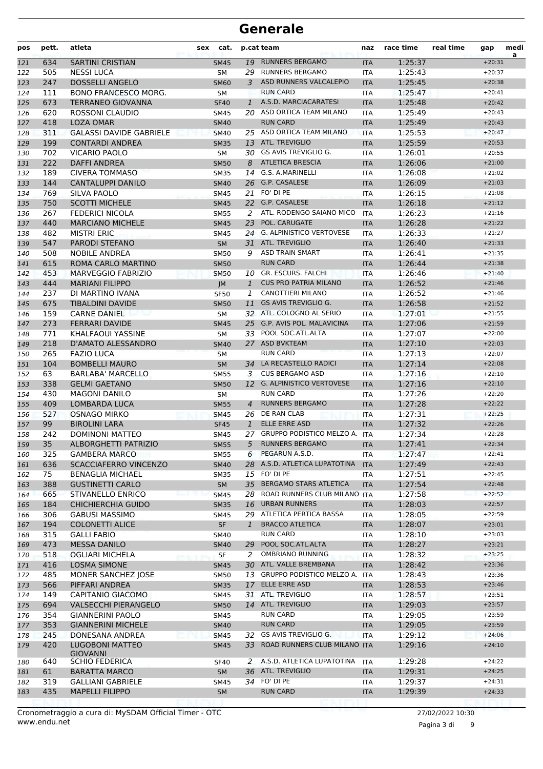| pos | pett. | atleta                         | sex | cat.        |              | p.cat team                       | naz        | race time | real time | gap      | medi<br>a |
|-----|-------|--------------------------------|-----|-------------|--------------|----------------------------------|------------|-----------|-----------|----------|-----------|
| 121 | 634   | <b>SARTINI CRISTIAN</b>        |     | <b>SM45</b> |              | 19 RUNNERS BERGAMO               | <b>ITA</b> | 1:25:37   |           | $+20:31$ |           |
| 122 | 505   | <b>NESSI LUCA</b>              |     | <b>SM</b>   | 29           | <b>RUNNERS BERGAMO</b>           | <b>ITA</b> | 1:25:43   |           | $+20:37$ |           |
| 123 | 247   | <b>DOSSELLI ANGELO</b>         |     | <b>SM60</b> | 3            | ASD RUNNERS VALCALEPIO           | <b>ITA</b> | 1:25:45   |           | $+20:38$ |           |
| 124 | 111   | <b>BONO FRANCESCO MORG.</b>    |     | <b>SM</b>   |              | <b>RUN CARD</b>                  | <b>ITA</b> | 1:25:47   |           | $+20:41$ |           |
| 125 | 673   | <b>TERRANEO GIOVANNA</b>       |     | <b>SF40</b> | $\mathbf{1}$ | A.S.D. MARCIACARATESI            | <b>ITA</b> | 1:25:48   |           | $+20:42$ |           |
| 126 | 620   | ROSSONI CLAUDIO                |     | <b>SM45</b> |              | 20 ASD ORTICA TEAM MILANO        | <b>ITA</b> | 1:25:49   |           | $+20:43$ |           |
| 127 | 418   | <b>LOZA OMAR</b>               |     | <b>SM40</b> |              | <b>RUN CARD</b>                  | <b>ITA</b> | 1:25:49   |           | $+20:43$ |           |
| 128 | 311   | <b>GALASSI DAVIDE GABRIELE</b> |     | <b>SM40</b> |              | 25 ASD ORTICA TEAM MILANO        | <b>ITA</b> | 1:25:53   |           | $+20:47$ |           |
| 129 | 199   | <b>CONTARDI ANDREA</b>         |     | <b>SM35</b> | 13           | <b>ATL. TREVIGLIO</b>            | <b>ITA</b> | 1:25:59   |           | $+20:53$ |           |
| 130 | 702   | <b>VICARIO PAOLO</b>           |     | <b>SM</b>   | 30           | GS AVIS TREVIGLIO G.             | <b>ITA</b> | 1:26:01   |           | $+20:55$ |           |
| 131 | 222   | <b>DAFFI ANDREA</b>            |     | <b>SM50</b> | 8            | <b>ATLETICA BRESCIA</b>          | <b>ITA</b> | 1:26:06   |           | $+21:00$ |           |
| 132 | 189   | <b>CIVERA TOMMASO</b>          |     | <b>SM35</b> |              | 14 G.S. A.MARINELLI              | <b>ITA</b> | 1:26:08   |           | $+21:02$ |           |
| 133 | 144   | <b>CANTALUPPI DANILO</b>       |     | <b>SM40</b> |              | 26 G.P. CASALESE                 | <b>ITA</b> | 1:26:09   |           | $+21:03$ |           |
| 134 | 769   | <b>SILVA PAOLO</b>             |     | <b>SM45</b> |              | 21 FO' DI PE                     | <b>ITA</b> | 1:26:15   |           | $+21:08$ |           |
| 135 | 750   | <b>SCOTTI MICHELE</b>          |     | <b>SM45</b> |              | 22 G.P. CASALESE                 | <b>ITA</b> | 1:26:18   |           | $+21:12$ |           |
| 136 | 267   | <b>FEDERICI NICOLA</b>         |     | <b>SM55</b> | 2            | ATL. RODENGO SAIANO MICO         | <b>ITA</b> | 1:26:23   |           | $+21:16$ |           |
| 137 | 440   | <b>MARCIANO MICHELE</b>        |     | <b>SM45</b> | 23           | POL. CARUGATE                    | <b>ITA</b> | 1:26:28   |           | $+21:22$ |           |
| 138 | 482   | <b>MISTRI ERIC</b>             |     | SM45        |              | 24 G. ALPINISTICO VERTOVESE      | <b>ITA</b> | 1:26:33   |           | $+21:27$ |           |
| 139 | 547   | PARODI STEFANO                 |     | <b>SM</b>   |              | 31 ATL. TREVIGLIO                | <b>ITA</b> | 1:26:40   |           | $+21:33$ |           |
| 140 | 508   | <b>NOBILE ANDREA</b>           |     | <b>SM50</b> | 9            | <b>ASD TRAIN SMART</b>           | <b>ITA</b> | 1:26:41   |           | $+21:35$ |           |
| 141 | 615   | ROMA CARLO MARTINO             |     | <b>SM50</b> |              | <b>RUN CARD</b>                  | <b>ITA</b> | 1:26:44   |           | $+21:38$ |           |
| 142 | 453   | MARVEGGIO FABRIZIO             |     | <b>SM50</b> |              | 10 GR. ESCURS. FALCHI            | <b>ITA</b> | 1:26:46   |           | $+21:40$ |           |
| 143 | 444   | <b>MARIANI FILIPPO</b>         |     | JM          | $\mathbf{1}$ | <b>CUS PRO PATRIA MILANO</b>     | <b>ITA</b> | 1:26:52   |           | $+21:46$ |           |
| 144 | 237   | DI MARTINO IVANA               |     | <b>SF50</b> | 1            | <b>CANOTTIERI MILANO</b>         | <b>ITA</b> | 1:26:52   |           | $+21:46$ |           |
| 145 | 675   | <b>TIBALDINI DAVIDE</b>        |     | <b>SM50</b> | 11           | <b>GS AVIS TREVIGLIO G.</b>      | <b>ITA</b> | 1:26:58   |           | $+21:52$ |           |
| 146 | 159   | <b>CARNE DANIEL</b>            |     | <b>SM</b>   |              | 32 ATL. COLOGNO AL SERIO         | <b>ITA</b> | 1:27:01   |           | $+21:55$ |           |
| 147 | 273   | <b>FERRARI DAVIDE</b>          |     | <b>SM45</b> | 25           | <b>G.P. AVIS POL. MALAVICINA</b> | <b>ITA</b> | 1:27:06   |           | $+21:59$ |           |
| 148 | 771   | KHALFAOUI YASSINE              |     | <b>SM</b>   | 33           | POOL SOC.ATL.ALTA                | <b>ITA</b> | 1:27:07   |           | $+22:00$ |           |
| 149 | 218   | D'AMATO ALESSANDRO             |     | <b>SM40</b> |              | 27 ASD BVKTEAM                   | <b>ITA</b> | 1:27:10   |           | $+22:03$ |           |
| 150 | 265   | <b>FAZIO LUCA</b>              |     | <b>SM</b>   |              | <b>RUN CARD</b>                  | <b>ITA</b> | 1:27:13   |           | $+22:07$ |           |
| 151 | 104   | <b>BOMBELLI MAURO</b>          |     | <b>SM</b>   |              | 34 LA RECASTELLO RADICI          | <b>ITA</b> | 1:27:14   |           | $+22:08$ |           |
| 152 | 63    | <b>BARLABA' MARCELLO</b>       |     | <b>SM55</b> | 3            | <b>CUS BERGAMO ASD</b>           | <b>ITA</b> | 1:27:16   |           | $+22:10$ |           |
| 153 | 338   | <b>GELMI GAETANO</b>           |     | <b>SM50</b> |              | 12 G. ALPINISTICO VERTOVESE      | <b>ITA</b> | 1:27:16   |           | $+22:10$ |           |
| 154 | 430   | <b>MAGONI DANILO</b>           |     | <b>SM</b>   |              | <b>RUN CARD</b>                  | <b>ITA</b> | 1:27:26   |           | $+22:20$ |           |
| 155 | 409   | LOMBARDA LUCA                  |     | <b>SM55</b> | 4            | <b>RUNNERS BERGAMO</b>           | <b>ITA</b> | 1:27:28   |           | $+22:22$ |           |
| 156 | 527   | <b>OSNAGO MIRKO</b>            |     | <b>SM45</b> | 26           | DE RAN CLAB                      | <b>ITA</b> | 1:27:31   |           | $+22:25$ |           |
| 157 | 99    | <b>BIROLINI LARA</b>           |     | <b>SF45</b> | $\mathbf{1}$ | <b>ELLE ERRE ASD</b>             | <b>ITA</b> | 1:27:32   |           | $+22:26$ |           |
| 158 | 242   | <b>DOMINONI MATTEO</b>         |     | SM45        | 27           | <b>GRUPPO PODISTICO MELZO A.</b> | <b>ITA</b> | 1:27:34   |           | $+22:28$ |           |
| 159 | 35    | ALBORGHETTI PATRIZIO           |     | <b>SM55</b> | 5            | <b>RUNNERS BERGAMO</b>           | <b>ITA</b> | 1:27:41   |           | $+22:34$ |           |
| 160 | 325   | <b>GAMBERA MARCO</b>           |     | <b>SM55</b> | 6            | PEGARUN A.S.D.                   | ITA        | 1:27:47   |           | $+22:41$ |           |
| 161 | 636   | <b>SCACCIAFERRO VINCENZO</b>   |     | <b>SM40</b> |              | 28 A.S.D. ATLETICA LUPATOTINA    | <b>ITA</b> | 1:27:49   |           | $+22:43$ |           |
| 162 | 75    | <b>BENAGLIA MICHAEL</b>        |     | SM35        |              | 15 FO' DI PE                     | ITA        | 1:27:51   |           | $+22:45$ |           |
| 163 | 388   | <b>GUSTINETTI CARLO</b>        |     | SM          |              | 35 BERGAMO STARS ATLETICA        | <b>ITA</b> | 1:27:54   |           | $+22:48$ |           |
| 164 | 665   | STIVANELLO ENRICO              |     | <b>SM45</b> | 28           | ROAD RUNNERS CLUB MILANO ITA     |            | 1:27:58   |           | $+22:52$ |           |
| 165 | 184   | <b>CHICHIERCHIA GUIDO</b>      |     | <b>SM35</b> | 16           | <b>URBAN RUNNERS</b>             | <b>ITA</b> | 1:28:03   |           | $+22:57$ |           |
| 166 | 306   | <b>GABUSI MASSIMO</b>          |     | SM45        |              | 29 ATLETICA PERTICA BASSA        | ITA        | 1:28:05   |           | $+22:59$ |           |
| 167 | 194   | <b>COLONETTI ALICE</b>         |     | <b>SF</b>   | $\mathbf{1}$ | <b>BRACCO ATLETICA</b>           | <b>ITA</b> | 1:28:07   |           | $+23:01$ |           |
| 168 | 315   | <b>GALLI FABIO</b>             |     | SM40        |              | <b>RUN CARD</b>                  | ITA        | 1:28:10   |           | $+23:03$ |           |
| 169 | 473   | <b>MESSA DANILO</b>            |     | <b>SM40</b> |              | 29 POOL SOC.ATL.ALTA             | <b>ITA</b> | 1:28:27   |           | $+23:21$ |           |
| 170 | 518   | <b>OGLIARI MICHELA</b>         |     | SF          | 2            | <b>OMBRIANO RUNNING</b>          | <b>ITA</b> | 1:28:32   |           | $+23:25$ |           |
| 171 | 416   | <b>LOSMA SIMONE</b>            |     | <b>SM45</b> |              | 30 ATL. VALLE BREMBANA           | <b>ITA</b> | 1:28:42   |           | $+23:36$ |           |
| 172 | 485   | MONER SANCHEZ JOSE             |     | <b>SM50</b> |              | 13 GRUPPO PODISTICO MELZO A.     | <b>ITA</b> | 1:28:43   |           | $+23:36$ |           |
| 173 | 566   | PIFFARI ANDREA                 |     | <b>SM35</b> |              | 17 ELLE ERRE ASD                 | <b>ITA</b> | 1:28:53   |           | $+23:46$ |           |
| 174 | 149   | CAPITANIO GIACOMO              |     | SM45        |              | 31 ATL. TREVIGLIO                | ITA        | 1:28:57   |           | $+23:51$ |           |
| 175 | 694   | <b>VALSECCHI PIERANGELO</b>    |     | <b>SM50</b> |              | 14 ATL. TREVIGLIO                | <b>ITA</b> | 1:29:03   |           | $+23:57$ |           |
| 176 | 354   | <b>GIANNERINI PAOLO</b>        |     | SM45        |              | <b>RUN CARD</b>                  | ITA        | 1:29:05   |           | $+23:59$ |           |
| 177 | 353   | <b>GIANNERINI MICHELE</b>      |     | <b>SM40</b> |              | <b>RUN CARD</b>                  | <b>ITA</b> | 1:29:05   |           | $+23:59$ |           |
| 178 | 245   | DONESANA ANDREA                |     | <b>SM45</b> | 32           | GS AVIS TREVIGLIO G.             | <b>ITA</b> | 1:29:12   |           | $+24:06$ |           |
| 179 | 420   | LUGOBONI MATTEO                |     | <b>SM45</b> | 33           | ROAD RUNNERS CLUB MILANO ITA     |            | 1:29:16   |           | $+24:10$ |           |
|     |       | <b>GIOVANNI</b>                |     |             |              |                                  |            |           |           |          |           |
| 180 | 640   | <b>SCHIO FEDERICA</b>          |     | <b>SF40</b> |              | 2 A.S.D. ATLETICA LUPATOTINA     | <b>ITA</b> | 1:29:28   |           | $+24:22$ |           |
| 181 | 61    | <b>BARATTA MARCO</b>           |     | <b>SM</b>   |              | 36 ATL. TREVIGLIO                | <b>ITA</b> | 1:29:31   |           | $+24:25$ |           |
| 182 | 319   | <b>GALLIANI GABRIELE</b>       |     | SM45        |              | 34 FO' DI PE                     | ITA        | 1:29:37   |           | $+24:31$ |           |
| 183 | 435   | <b>MAPELLI FILIPPO</b>         |     | SM          |              | <b>RUN CARD</b>                  | <b>ITA</b> | 1:29:39   |           | $+24:33$ |           |
|     |       |                                |     |             |              |                                  |            |           |           |          |           |

Pagina 3 di 9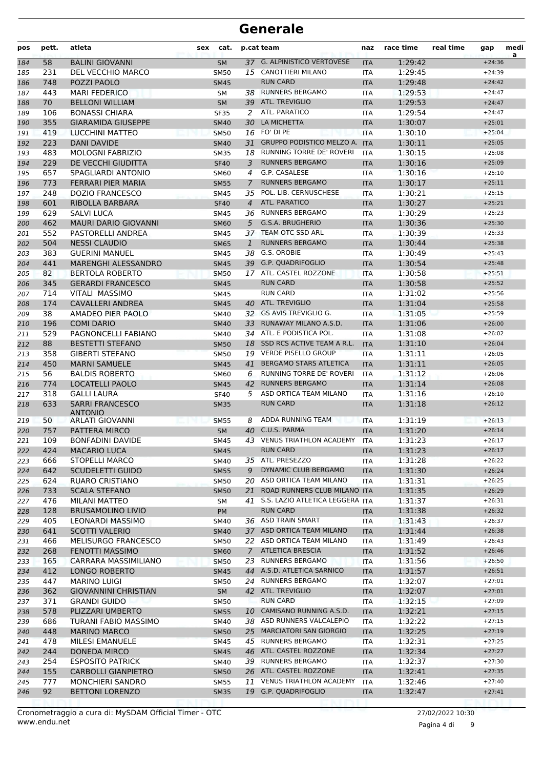| pos | pett. | atleta                                   | sex | cat.        |                | p.cat team                         | naz        | race time | real time | gap      | medi<br>a |
|-----|-------|------------------------------------------|-----|-------------|----------------|------------------------------------|------------|-----------|-----------|----------|-----------|
| 184 | 58    | <b>BALINI GIOVANNI</b>                   |     | <b>SM</b>   |                | 37 G. ALPINISTICO VERTOVESE        | <b>ITA</b> | 1:29:42   |           | $+24:36$ |           |
| 185 | 231   | DEL VECCHIO MARCO                        |     | <b>SM50</b> |                | 15 CANOTTIERI MILANO               | <b>ITA</b> | 1:29:45   |           | $+24:39$ |           |
| 186 | 748   | POZZI PAOLO                              |     | <b>SM45</b> |                | <b>RUN CARD</b>                    | <b>ITA</b> | 1:29:48   |           | $+24:42$ |           |
| 187 | 443   | <b>MARI FEDERICO</b>                     |     | <b>SM</b>   | 38             | <b>RUNNERS BERGAMO</b>             | <b>ITA</b> | 1:29:53   |           | $+24:47$ |           |
| 188 | 70    | <b>BELLONI WILLIAM</b>                   |     | <b>SM</b>   | 39             | ATL. TREVIGLIO                     | <b>ITA</b> | 1:29:53   |           | $+24:47$ |           |
| 189 | 106   | <b>BONASSI CHIARA</b>                    |     | <b>SF35</b> | 2              | ATL. PARATICO                      | <b>ITA</b> | 1:29:54   |           | $+24:47$ |           |
| 190 | 355   | <b>GIARAMIDA GIUSEPPE</b>                |     | <b>SM40</b> | 30 L           | LA MICHETTA                        | <b>ITA</b> | 1:30:07   |           | $+25:01$ |           |
| 191 | 419   | LUCCHINI MATTEO                          |     | <b>SM50</b> |                | 16 FO' DI PE                       | <b>ITA</b> | 1:30:10   |           | $+25:04$ |           |
| 192 | 223   | <b>DANI DAVIDE</b>                       |     | <b>SM40</b> | 31             | <b>GRUPPO PODISTICO MELZO A.</b>   | <b>ITA</b> | 1:30:11   |           | $+25:05$ |           |
| 193 | 483   | <b>MOLOGNI FABRIZIO</b>                  |     | <b>SM35</b> | 18             | RUNNING TORRE DE' ROVERI           | <b>ITA</b> | 1:30:15   |           | $+25:08$ |           |
| 194 | 229   | DE VECCHI GIUDITTA                       |     | <b>SF40</b> | 3              | <b>RUNNERS BERGAMO</b>             | <b>ITA</b> | 1:30:16   |           | $+25:09$ |           |
| 195 | 657   | SPAGLIARDI ANTONIO                       |     | <b>SM60</b> | 4              | G.P. CASALESE                      | <b>ITA</b> | 1:30:16   |           | $+25:10$ |           |
| 196 | 773   | <b>FERRARI PIER MARIA</b>                |     | <b>SM55</b> | 7              | <b>RUNNERS BERGAMO</b>             | <b>ITA</b> | 1:30:17   |           | $+25:11$ |           |
| 197 | 248   | DOZIO FRANCESCO                          |     | SM45        | 35             | POL. LIB. CERNUSCHESE              | <b>ITA</b> | 1:30:21   |           | $+25:15$ |           |
| 198 | 601   | RIBOLLA BARBARA                          |     | <b>SF40</b> | $\overline{4}$ | ATL. PARATICO                      | <b>ITA</b> | 1:30:27   |           | $+25:21$ |           |
| 199 | 629   | SALVI LUCA                               |     | <b>SM45</b> |                | 36 RUNNERS BERGAMO                 | <b>ITA</b> | 1:30:29   |           | $+25:23$ |           |
| 200 | 462   | <b>MAURI DARIO GIOVANNI</b>              |     | <b>SM60</b> | 5              | G.S.A. BRUGHERIO                   | <b>ITA</b> | 1:30:36   |           | $+25:30$ |           |
| 201 | 552   | PASTORELLI ANDREA                        |     | SM45        |                | 37 TEAM OTC SSD ARL                | <b>ITA</b> | 1:30:39   |           | $+25:33$ |           |
| 202 | 504   | <b>NESSI CLAUDIO</b>                     |     | <b>SM65</b> | 1              | <b>RUNNERS BERGAMO</b>             | <b>ITA</b> | 1:30:44   |           | $+25:38$ |           |
| 203 | 383   | <b>GUERINI MANUEL</b>                    |     | SM45        |                | 38 G.S. OROBIE                     | <b>ITA</b> | 1:30:49   |           | $+25:43$ |           |
| 204 | 441   | <b>MARENGHI ALESSANDRO</b>               |     | <b>SM45</b> |                | 39 G.P. QUADRIFOGLIO               | <b>ITA</b> | 1:30:54   |           | $+25:48$ |           |
| 205 | 82    | <b>BERTOLA ROBERTO</b>                   |     | <b>SM50</b> |                | 17 ATL. CASTEL ROZZONE             | <b>ITA</b> | 1:30:58   |           | $+25:51$ |           |
| 206 | 345   | <b>GERARDI FRANCESCO</b>                 |     | <b>SM45</b> |                | <b>RUN CARD</b>                    | <b>ITA</b> | 1:30:58   |           | $+25:52$ |           |
| 207 | 714   | VITALI MASSIMO                           |     | SM45        |                | <b>RUN CARD</b>                    | <b>ITA</b> | 1:31:02   |           | $+25:56$ |           |
| 208 | 174   | <b>CAVALLERI ANDREA</b>                  |     | <b>SM45</b> | 40             | <b>ATL. TREVIGLIO</b>              | <b>ITA</b> | 1:31:04   |           | $+25:58$ |           |
| 209 | 38    | AMADEO PIER PAOLO                        |     | SM40        |                | 32 GS AVIS TREVIGLIO G.            | <b>ITA</b> | 1:31:05   |           | $+25:59$ |           |
| 210 | 196   | <b>COMI DARIO</b>                        |     | <b>SM40</b> | 33             | RUNAWAY MILANO A.S.D.              | <b>ITA</b> | 1:31:06   |           | $+26:00$ |           |
| 211 | 529   | PAGNONCELLI FABIANO                      |     | <b>SM40</b> |                | 34 ATL. E PODISTICA POL.           | <b>ITA</b> | 1:31:08   |           | $+26:02$ |           |
| 212 | 88    | <b>BESTETTI STEFANO</b>                  |     | <b>SM50</b> | 18             | SSD RCS ACTIVE TEAM A R.L.         | <b>ITA</b> | 1:31:10   |           | $+26:04$ |           |
| 213 | 358   | <b>GIBERTI STEFANO</b>                   |     | <b>SM50</b> |                | 19 VERDE PISELLO GROUP             | <b>ITA</b> | 1:31:11   |           | $+26:05$ |           |
| 214 | 450   | <b>MARNI SAMUELE</b>                     |     | <b>SM45</b> | 41             | <b>BERGAMO STARS ATLETICA</b>      | <b>ITA</b> | 1:31:11   |           | $+26:05$ |           |
| 215 | 56    | <b>BALDIS ROBERTO</b>                    |     | <b>SM60</b> | 6              | RUNNING TORRE DE' ROVERI           | <b>ITA</b> | 1:31:12   |           | $+26:06$ |           |
| 216 | 774   | LOCATELLI PAOLO                          |     | <b>SM45</b> | 42             | <b>RUNNERS BERGAMO</b>             | <b>ITA</b> | 1:31:14   |           | $+26:08$ |           |
| 217 | 318   | <b>GALLI LAURA</b>                       |     | <b>SF40</b> | 5              | ASD ORTICA TEAM MILANO             | <b>ITA</b> | 1:31:16   |           | $+26:10$ |           |
| 218 | 633   | <b>SARRI FRANCESCO</b><br><b>ANTONIO</b> |     | <b>SM35</b> |                | <b>RUN CARD</b>                    | <b>ITA</b> | 1:31:18   |           | $+26:12$ |           |
| 219 | 50    | <b>ARLATI GIOVANNI</b>                   |     | <b>SM55</b> | 8              | <b>ADDA RUNNING TEAM</b>           | <b>ITA</b> | 1:31:19   |           | $+26:13$ |           |
| 220 | 757   | PATTERA MIRCO                            |     | <b>SM</b>   | 40             | C.U.S. PARMA                       | <b>ITA</b> | 1:31:20   |           | $+26:14$ |           |
| 221 | 109   | <b>BONFADINI DAVIDE</b>                  |     | <b>SM45</b> |                | 43 VENUS TRIATHLON ACADEMY         | <b>ITA</b> | 1:31:23   |           | $+26:17$ |           |
| 222 | 424   | <b>MACARIO LUCA</b>                      |     | SM45        |                | <b>RUN CARD</b>                    | ITA.       | 1:31:23   |           | $+26:17$ |           |
| 223 | 666   | STOPELLI MARCO                           |     | SM40        |                | 35 ATL. PRESEZZO                   | ITA        | 1:31:28   |           | $+26:22$ |           |
| 224 | 642   | <b>SCUDELETTI GUIDO</b>                  |     | <b>SM55</b> | 9              | DYNAMIC CLUB BERGAMO               | <b>ITA</b> | 1:31:30   |           | $+26:24$ |           |
| 225 | 624   | RUARO CRISTIANO                          |     | <b>SM50</b> | 20             | ASD ORTICA TEAM MILANO             | <b>ITA</b> | 1:31:31   |           | $+26:25$ |           |
| 226 | 733   | <b>SCALA STEFANO</b>                     |     | <b>SM50</b> | 21             | ROAD RUNNERS CLUB MILANO ITA       |            | 1:31:35   |           | $+26:29$ |           |
| 227 | 476   | MILANI MATTEO                            |     | SM          |                | 41 S.S. LAZIO ATLETICA LEGGERA ITA |            | 1:31:37   |           | $+26:31$ |           |
| 228 | 128   | <b>BRUSAMOLINO LIVIO</b>                 |     | PM          |                | <b>RUN CARD</b>                    | <b>ITA</b> | 1:31:38   |           | $+26:32$ |           |
| 229 | 405   | LEONARDI MASSIMO                         |     | SM40        |                | 36 ASD TRAIN SMART                 | ITA        | 1:31:43   |           | $+26:37$ |           |
| 230 | 641   | <b>SCOTTI VALERIO</b>                    |     | <b>SM40</b> |                | 37 ASD ORTICA TEAM MILANO          | <b>ITA</b> | 1:31:44   |           | $+26:38$ |           |
| 231 | 466   | MELISURGO FRANCESCO                      |     | <b>SM50</b> |                | 22 ASD ORTICA TEAM MILANO          | ITA        | 1:31:49   |           | $+26:43$ |           |
| 232 | 268   | <b>FENOTTI MASSIMO</b>                   |     | <b>SM60</b> | $7^{\circ}$    | <b>ATLETICA BRESCIA</b>            | <b>ITA</b> | 1:31:52   |           | $+26:46$ |           |
| 233 | 165   | CARRARA MASSIMILIANO                     |     | <b>SM50</b> |                | 23 RUNNERS BERGAMO                 | ITA        | 1:31:56   |           | $+26:50$ |           |
| 234 | 412   | <b>LONGO ROBERTO</b>                     |     | SM45        |                | 44 A.S.D. ATLETICA SARNICO         | <b>ITA</b> | 1:31:57   |           | $+26:51$ |           |
| 235 | 447   | <b>MARINO LUIGI</b>                      |     | SM50        |                | 24 RUNNERS BERGAMO                 | ITA        | 1:32:07   |           | $+27:01$ |           |
| 236 | 362   | <b>GIOVANNINI CHRISTIAN</b>              |     | <b>SM</b>   |                | 42 ATL. TREVIGLIO                  | <b>ITA</b> | 1:32:07   |           | $+27:01$ |           |
| 237 | 371   | <b>GRANDI GUIDO</b>                      |     | SM50        |                | <b>RUN CARD</b>                    | <b>ITA</b> | 1:32:15   |           | $+27:09$ |           |
| 238 | 578   | PLIZZARI UMBERTO                         |     | <b>SM55</b> | 10             | CAMISANO RUNNING A.S.D.            | <b>ITA</b> | 1:32:21   |           | $+27:15$ |           |
| 239 | 686   | TURANI FABIO MASSIMO                     |     | SM40        |                | 38 ASD RUNNERS VALCALEPIO          | ITA        | 1:32:22   |           | $+27:15$ |           |
| 240 | 448   | <b>MARINO MARCO</b>                      |     | <b>SM50</b> |                | 25 MARCIATORI SAN GIORGIO          | <b>ITA</b> | 1:32:25   |           | $+27:19$ |           |
| 241 | 478   | <b>MILESI EMANUELE</b>                   |     | SM45        |                | 45 RUNNERS BERGAMO                 | <b>ITA</b> | 1:32:31   |           | $+27:25$ |           |
| 242 | 244   | DONEDA MIRCO                             |     | <b>SM45</b> |                | 46 ATL. CASTEL ROZZONE             | <b>ITA</b> | 1:32:34   |           | $+27:27$ |           |
| 243 | 254   | <b>ESPOSITO PATRICK</b>                  |     | SM40        |                | 39 RUNNERS BERGAMO                 | ITA        | 1:32:37   |           | $+27:30$ |           |
| 244 | 155   | <b>CARBOLLI GIANPIETRO</b>               |     | <b>SM50</b> |                | 26 ATL. CASTEL ROZZONE             | <b>ITA</b> | 1:32:41   |           | $+27:35$ |           |
| 245 | 777   | <b>MONCHIERI SANDRO</b>                  |     | SM55        | 11             | <b>VENUS TRIATHLON ACADEMY</b>     | ITA        | 1:32:46   |           | $+27:40$ |           |
| 246 | 92    | <b>BETTONI LORENZO</b>                   |     | <b>SM35</b> | 19             | G.P. QUADRIFOGLIO                  | <b>ITA</b> | 1:32:47   |           | $+27:41$ |           |
|     |       |                                          |     |             |                |                                    |            |           |           |          |           |

Pagina 4 di 9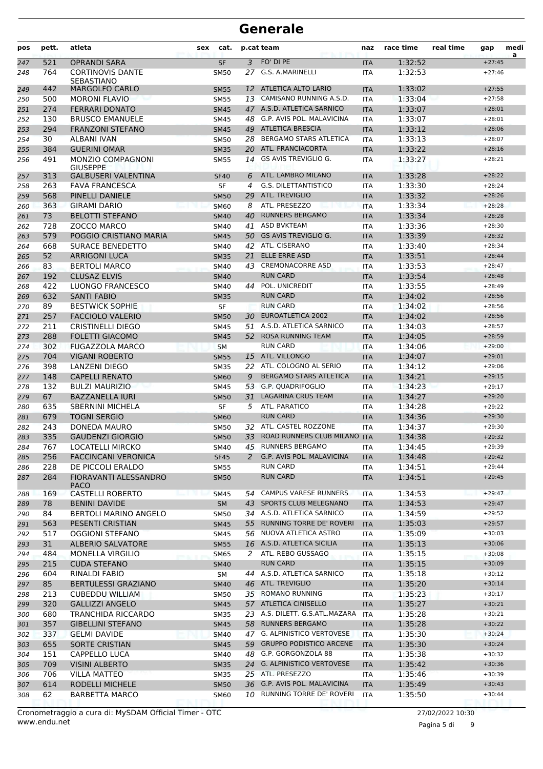| pos        | pett.      | atleta                                          | sex | cat.                       |    | p.cat team                                                | naz                      | race time          | real time | gap                  | medi<br>a |
|------------|------------|-------------------------------------------------|-----|----------------------------|----|-----------------------------------------------------------|--------------------------|--------------------|-----------|----------------------|-----------|
| 247        | 521        | <b>OPRANDI SARA</b>                             |     | <b>SF</b>                  | 3  | FO' DI PE                                                 | <b>ITA</b>               | 1:32:52            |           | $+27:45$             |           |
| 248        | 764        | <b>CORTINOVIS DANTE</b>                         |     | <b>SM50</b>                |    | 27 G.S. A.MARINELLI                                       | <b>ITA</b>               | 1:32:53            |           | $+27:46$             |           |
|            |            | <b>SEBASTIANO</b>                               |     |                            |    |                                                           |                          |                    |           |                      |           |
| 249        | 442        | <b>MARGOLFO CARLO</b>                           |     | <b>SM55</b>                |    | 12 ATLETICA ALTO LARIO                                    | <b>ITA</b>               | 1:33:02            |           | $+27:55$             |           |
| 250        | 500        | <b>MORONI FLAVIO</b>                            |     | <b>SM55</b>                |    | 13 CAMISANO RUNNING A.S.D.<br>47 A.S.D. ATLETICA SARNICO  | <b>ITA</b>               | 1:33:04<br>1:33:07 |           | $+27:58$<br>$+28:01$ |           |
| 251<br>252 | 274<br>130 | <b>FERRARI DONATO</b><br><b>BRUSCO EMANUELE</b> |     | <b>SM45</b><br><b>SM45</b> |    | 48 G.P. AVIS POL. MALAVICINA                              | <b>ITA</b><br><b>ITA</b> | 1:33:07            |           | $+28:01$             |           |
| 253        | 294        | <b>FRANZONI STEFANO</b>                         |     | <b>SM45</b>                |    | 49 ATLETICA BRESCIA                                       | <b>ITA</b>               | 1:33:12            |           | $+28:06$             |           |
| 254        | 30         | ALBANI IVAN                                     |     | <b>SM50</b>                | 28 | <b>BERGAMO STARS ATLETICA</b>                             | <b>ITA</b>               | 1:33:13            |           | $+28:07$             |           |
| 255        | 384        | <b>GUERINI OMAR</b>                             |     | <b>SM35</b>                | 20 | ATL. FRANCIACORTA                                         | <b>ITA</b>               | 1:33:22            |           | $+28:16$             |           |
| 256        | 491        | MONZIO COMPAGNONI                               |     | SM55                       | 14 | <b>GS AVIS TREVIGLIO G.</b>                               | <b>ITA</b>               | 1:33:27            |           | $+28:21$             |           |
|            | 313        | <b>GIUSEPPE</b><br><b>GALBUSERI VALENTINA</b>   |     |                            | 6  | ATL. LAMBRO MILANO                                        |                          | 1:33:28            |           | $+28:22$             |           |
| 257        | 263        | <b>FAVA FRANCESCA</b>                           |     | <b>SF40</b><br>SF          | 4  | <b>G.S. DILETTANTISTICO</b>                               | <b>ITA</b><br><b>ITA</b> | 1:33:30            |           | $+28:24$             |           |
| 258<br>259 | 568        | PINELLI DANIELE                                 |     | <b>SM50</b>                | 29 | <b>ATL. TREVIGLIO</b>                                     | <b>ITA</b>               | 1:33:32            |           | $+28:26$             |           |
| 260        | 363        | <b>GIRAMI DARIO</b>                             |     | <b>SM60</b>                | 8  | ATL. PRESEZZO                                             | <b>ITA</b>               | 1:33:34            |           | $+28:28$             |           |
| 261        | 73         | <b>BELOTTI STEFANO</b>                          |     | <b>SM40</b>                | 40 | <b>RUNNERS BERGAMO</b>                                    | <b>ITA</b>               | 1:33:34            |           | $+28:28$             |           |
| 262        | 728        | ZOCCO MARCO                                     |     | <b>SM40</b>                | 41 | <b>ASD BVKTEAM</b>                                        | <b>ITA</b>               | 1:33:36            |           | $+28:30$             |           |
| 263        | 579        | POGGIO CRISTIANO MARIA                          |     | <b>SM45</b>                | 50 | <b>GS AVIS TREVIGLIO G.</b>                               | <b>ITA</b>               | 1:33:39            |           | $+28:32$             |           |
| 264        | 668        | SURACE BENEDETTO                                |     | SM40                       |    | 42 ATL. CISERANO                                          | <b>ITA</b>               | 1:33:40            |           | $+28:34$             |           |
| 265        | 52         | <b>ARRIGONI LUCA</b>                            |     | <b>SM35</b>                | 21 | ELLE ERRE ASD                                             | <b>ITA</b>               | 1:33:51            |           | $+28:44$             |           |
| 266        | 83         | <b>BERTOLI MARCO</b>                            |     | SM40                       | 43 | <b>CREMONACORRE ASD</b>                                   | <b>ITA</b>               | 1:33:53            |           | $+28:47$             |           |
| 267        | 192        | <b>CLUSAZ ELVIS</b>                             |     | <b>SM40</b>                |    | <b>RUN CARD</b>                                           | <b>ITA</b>               | 1:33:54            |           | $+28:48$             |           |
| 268        | 422        | LUONGO FRANCESCO                                |     | <b>SM40</b>                | 44 | POL. UNICREDIT                                            | <b>ITA</b>               | 1:33:55            |           | $+28:49$             |           |
| 269        | 632        | <b>SANTI FABIO</b>                              |     | <b>SM35</b>                |    | <b>RUN CARD</b>                                           | <b>ITA</b>               | 1:34:02            |           | $+28:56$             |           |
| 270        | 89         | <b>BESTWICK SOPHIE</b>                          |     | SF                         |    | <b>RUN CARD</b>                                           | <b>ITA</b>               | 1:34:02            |           | $+28:56$             |           |
| 271        | 257        | <b>FACCIOLO VALERIO</b>                         |     | <b>SM50</b>                | 30 | EUROATLETICA 2002                                         | <b>ITA</b>               | 1:34:02            |           | $+28:56$             |           |
| 272        | 211        | <b>CRISTINELLI DIEGO</b>                        |     | SM45                       | 51 | A.S.D. ATLETICA SARNICO                                   | <b>ITA</b>               | 1:34:03            |           | $+28:57$             |           |
| 273        | 288        | <b>FOLETTI GIACOMO</b>                          |     | <b>SM45</b>                | 52 | <b>ROSA RUNNING TEAM</b>                                  | <b>ITA</b>               | 1:34:05            |           | $+28:59$             |           |
| 274        | 302        | <b>FUGAZZOLA MARCO</b>                          |     | <b>SM</b>                  |    | <b>RUN CARD</b>                                           | <b>ITA</b>               | 1:34:06            |           | $+29:00$             |           |
| 275        | 704        | <b>VIGANI ROBERTO</b>                           |     | <b>SM55</b>                | 15 | ATL. VILLONGO                                             | <b>ITA</b>               | 1:34:07            |           | $+29:01$             |           |
| 276        | 398        | LANZENI DIEGO                                   |     | <b>SM35</b>                |    | 22 ATL. COLOGNO AL SERIO                                  | <b>ITA</b>               | 1:34:12            |           | $+29:06$             |           |
| 277        | 148        | <b>CAPELLI RENATO</b>                           |     | <b>SM60</b>                | 9  | <b>BERGAMO STARS ATLETICA</b>                             | <b>ITA</b>               | 1:34:21            |           | $+29:15$             |           |
| 278        | 132        | <b>BULZI MAURIZIO</b>                           |     | SM45                       | 53 | <b>G.P. QUADRIFOGLIO</b>                                  | <b>ITA</b>               | 1:34:23            |           | $+29:17$             |           |
| 279        | 67         | <b>BAZZANELLA IURI</b>                          |     | <b>SM50</b>                | 31 | LAGARINA CRUS TEAM                                        | <b>ITA</b>               | 1:34:27            |           | $+29:20$             |           |
| 280        | 635        | <b>SBERNINI MICHELA</b>                         |     | <b>SF</b>                  | 5  | ATL. PARATICO                                             | <b>ITA</b>               | 1:34:28            |           | $+29:22$             |           |
| 281        | 679        | <b>TOGNI SERGIO</b>                             |     | <b>SM60</b>                |    | <b>RUN CARD</b>                                           | <b>ITA</b>               | 1:34:36            |           | $+29:30$             |           |
| 282<br>283 | 243<br>335 | DONEDA MAURO<br><b>GAUDENZI GIORGIO</b>         |     | <b>SM50</b>                |    | 32 ATL. CASTEL ROZZONE<br>33 ROAD RUNNERS CLUB MILANO ITA | <b>ITA</b>               | 1:34:37            |           | $+29:30$<br>$+29:32$ |           |
| 284        | 767        | LOCATELLI MIRCKO                                |     | <b>SM50</b>                |    | 45 RUNNERS BERGAMO                                        |                          | 1:34:38<br>1:34:45 |           | $+29:39$             |           |
| 285        | 256        | <b>FACCINCANI VERONICA</b>                      |     | SM40<br><b>SF45</b>        |    | 2 G.P. AVIS POL. MALAVICINA                               | ITA<br><b>ITA</b>        | 1:34:48            |           | $+29:42$             |           |
| 286        | 228        | DE PICCOLI ERALDO                               |     | <b>SM55</b>                |    | RUN CARD                                                  | ITA                      | 1:34:51            |           | $+29:44$             |           |
| 287        | 284        | FIORAVANTI ALESSANDRO                           |     | <b>SM50</b>                |    | <b>RUN CARD</b>                                           | <b>ITA</b>               | 1:34:51            |           | $+29:45$             |           |
|            |            | <b>PACO</b>                                     |     |                            |    |                                                           |                          |                    |           |                      |           |
| 288        | 169        | <b>CASTELLI ROBERTO</b>                         |     | SM45                       |    | 54 CAMPUS VARESE RUNNERS                                  | ITA                      | 1:34:53            |           | $+29:47$             |           |
| 289        | 78         | <b>BENINI DAVIDE</b>                            |     | SM                         |    | 43 SPORTS CLUB MELEGNANO<br>34 A.S.D. ATLETICA SARNICO    | <b>ITA</b>               | 1:34:53            |           | $+29:47$             |           |
| 290        | 84         | BERTOLI MARINO ANGELO<br>PESENTI CRISTIAN       |     | SM50                       |    | 55 RUNNING TORRE DE' ROVERI                               | ITA                      | 1:34:59            |           | $+29:52$<br>$+29:57$ |           |
| 291<br>292 | 563<br>517 | <b>OGGIONI STEFANO</b>                          |     | <b>SM45</b><br>SM45        |    | 56 NUOVA ATLETICA ASTRO                                   | <b>ITA</b><br>ITA        | 1:35:03<br>1:35:09 |           | $+30:03$             |           |
| 293        | 31         | ALBERIO SALVATORE                               |     | <b>SM55</b>                |    | 16 A.S.D. ATLETICA SICILIA                                | <b>ITA</b>               | 1:35:13            |           | $+30:06$             |           |
| 294        | 484        | MONELLA VIRGILIO                                |     | SM65                       |    | 2 ATL. REBO GUSSAGO                                       | ITA                      | 1:35:15            |           | $+30:08$             |           |
| 295        | 215        | <b>CUDA STEFANO</b>                             |     | <b>SM40</b>                |    | RUN CARD                                                  | <b>ITA</b>               | 1:35:15            |           | $+30:09$             |           |
| 296        | 604        | RINALDI FABIO                                   |     | SM                         |    | 44 A.S.D. ATLETICA SARNICO                                | ITA                      | 1:35:18            |           | $+30:12$             |           |
| 297        | 85         | <b>BERTULESSI GRAZIANO</b>                      |     | <b>SM40</b>                |    | 46 ATL. TREVIGLIO                                         | <b>ITA</b>               | 1:35:20            |           | $+30:14$             |           |
| 298        | 213        | <b>CUBEDDU WILLIAM</b>                          |     | SM50                       |    | 35 ROMANO RUNNING                                         | ITA                      | 1:35:23            |           | $+30:17$             |           |
| 299        | 320        | <b>GALLIZZI ANGELO</b>                          |     | <b>SM45</b>                |    | 57 ATLETICA CINISELLO                                     | <b>ITA</b>               | 1:35:27            |           | $+30:21$             |           |
| 300        | 680        | TRANCHIDA RICCARDO                              |     | <b>SM35</b>                |    | 23 A.S. DILETT. G.S.ATL.MAZARA                            | ITA                      | 1:35:28            |           | $+30:21$             |           |
| 301        | 357        | <b>GIBELLINI STEFANO</b>                        |     | <b>SM45</b>                |    | 58 RUNNERS BERGAMO                                        | <b>ITA</b>               | 1:35:28            |           | $+30:22$             |           |
| 302        | 337        | <b>GELMI DAVIDE</b>                             |     | <b>SM40</b>                |    | 47 G. ALPINISTICO VERTOVESE                               | ITA                      | 1:35:30            |           | $+30:24$             |           |
| 303        | 655        | SORTE CRISTIAN                                  |     | <b>SM45</b>                |    | 59 GRUPPO PODISTICO ARCENE                                | <b>ITA</b>               | 1:35:30            |           | $+30:24$             |           |
| 304        | 151        | CAPPELLO LUCA                                   |     | SM40                       |    | 48 G.P. GORGONZOLA 88                                     | ITA                      | 1:35:38            |           | $+30:32$             |           |
| 305        | 709        | VISINI ALBERTO                                  |     | <b>SM35</b>                |    | 24 G. ALPINISTICO VERTOVESE                               | <b>ITA</b>               | 1:35:42            |           | $+30:36$             |           |
| 306        | 706        | <b>VILLA MATTEO</b>                             |     | SM35                       |    | 25 ATL. PRESEZZO                                          | ITA                      | 1:35:46            |           | $+30:39$             |           |
| 307        | 614        | RODELLI MICHELE                                 |     | <b>SM50</b>                |    | 36 G.P. AVIS POL. MALAVICINA                              | <b>ITA</b>               | 1:35:49            |           | $+30:43$             |           |
| 308        | 62         | <b>BARBETTA MARCO</b>                           |     | SM60                       |    | 10 RUNNING TORRE DE' ROVERI                               | ITA                      | 1:35:50            |           | $+30:44$             |           |

Pagina 5 di 9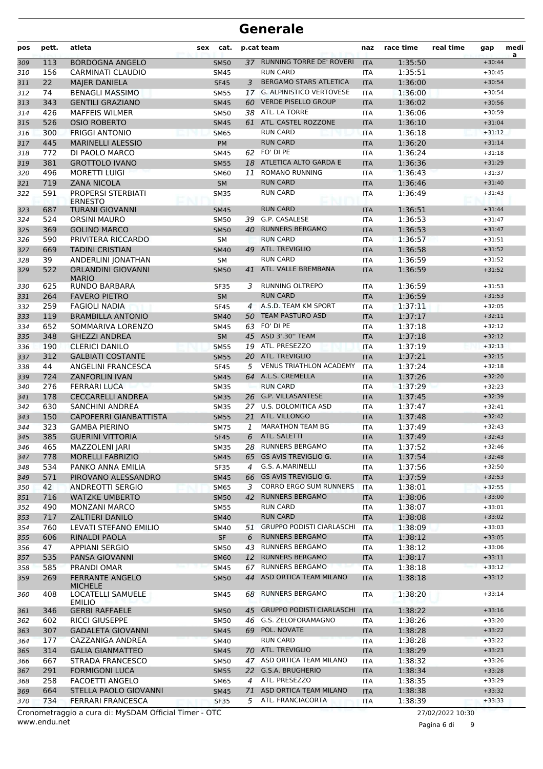| pos        | pett.      | atleta                                        | sex | cat.                       |                | p.cat team                                    | naz                      | race time          | real time | gap                  | medi<br>a |
|------------|------------|-----------------------------------------------|-----|----------------------------|----------------|-----------------------------------------------|--------------------------|--------------------|-----------|----------------------|-----------|
| 309        | 113        | <b>BORDOGNA ANGELO</b>                        |     | <b>SM50</b>                |                | 37 RUNNING TORRE DE' ROVERI                   | <b>ITA</b>               | 1:35:50            |           | $+30:44$             |           |
| 310        | 156        | <b>CARMINATI CLAUDIO</b>                      |     | <b>SM45</b>                |                | <b>RUN CARD</b>                               | <b>ITA</b>               | 1:35:51            |           | $+30:45$             |           |
| 311        | 22         | <b>MAJER DANIELA</b>                          |     | <b>SF45</b>                | 3              | <b>BERGAMO STARS ATLETICA</b>                 | <b>ITA</b>               | 1:36:00            |           | $+30:54$             |           |
| 312        | 74         | <b>BENAGLI MASSIMO</b>                        |     | <b>SM55</b>                | 17             | <b>G. ALPINISTICO VERTOVESE</b>               | <b>ITA</b>               | 1:36:00            |           | $+30:54$             |           |
| 313        | 343        | <b>GENTILI GRAZIANO</b>                       |     | <b>SM45</b>                |                | 60 VERDE PISELLO GROUP                        | <b>ITA</b>               | 1:36:02            |           | $+30:56$             |           |
| 314        | 426        | <b>MAFFEIS WILMER</b>                         |     | <b>SM50</b>                |                | 38 ATL. LA TORRE                              | ITA                      | 1:36:06            |           | $+30:59$             |           |
| 315        | 526        | <b>OSIO ROBERTO</b>                           |     | <b>SM45</b>                |                | 61 ATL. CASTEL ROZZONE                        | <b>ITA</b>               | 1:36:10            |           | $+31:04$             |           |
| 316        | 300        | <b>FRIGGI ANTONIO</b>                         |     | <b>SM65</b>                |                | <b>RUN CARD</b>                               | <b>ITA</b>               | 1:36:18            |           | $+31:12$             |           |
| 317        | 445        | <b>MARINELLI ALESSIO</b>                      |     | PM                         |                | <b>RUN CARD</b>                               | <b>ITA</b>               | 1:36:20            |           | $+31:14$             |           |
| 318        | 772        | DI PAOLO MARCO                                |     | <b>SM45</b>                | 62             | FO' DI PE                                     | ITA                      | 1:36:24            |           | $+31:18$             |           |
| 319        | 381        | <b>GROTTOLO IVANO</b>                         |     | <b>SM55</b>                | 18             | ATLETICA ALTO GARDA E                         | <b>ITA</b>               | 1:36:36            |           | $+31:29$             |           |
| 320        | 496        | <b>MORETTI LUIGI</b>                          |     | SM60                       | 11             | <b>ROMANO RUNNING</b>                         | <b>ITA</b>               | 1:36:43            |           | $+31:37$             |           |
| 321        | 719        | <b>ZANA NICOLA</b>                            |     | <b>SM</b>                  |                | <b>RUN CARD</b>                               | <b>ITA</b>               | 1:36:46            |           | $+31:40$             |           |
| 322        | 591        | PROPERSI STERBIATI<br><b>ERNESTO</b>          |     | <b>SM35</b>                |                | <b>RUN CARD</b>                               | ITA                      | 1:36:49            |           | $+31:43$             |           |
| 323        | 687        | <b>TURANI GIOVANNI</b>                        |     | <b>SM45</b>                |                | <b>RUN CARD</b>                               | <b>ITA</b>               | 1:36:51            |           | $+31:44$             |           |
| 324        | 524        | <b>ORSINI MAURO</b>                           |     | <b>SM50</b>                | 39             | G.P. CASALESE                                 | <b>ITA</b>               | 1:36:53            |           | $+31:47$             |           |
| 325        | 369        | <b>GOLINO MARCO</b>                           |     | <b>SM50</b>                | 40             | <b>RUNNERS BERGAMO</b>                        | <b>ITA</b>               | 1:36:53            |           | $+31:47$             |           |
| 326        | 590        | PRIVITERA RICCARDO                            |     | <b>SM</b>                  |                | <b>RUN CARD</b>                               | ITA                      | 1:36:57            |           | $+31:51$             |           |
| 327        | 669        | <b>TADINI CRISTIAN</b>                        |     | <b>SM40</b>                |                | 49 ATL. TREVIGLIO                             | <b>ITA</b>               | 1:36:58            |           | $+31:52$             |           |
| 328        | 39         | ANDERLINI JONATHAN                            |     | <b>SM</b>                  |                | <b>RUN CARD</b>                               | <b>ITA</b>               | 1:36:59            |           | $+31:52$             |           |
| 329        | 522        | <b>ORLANDINI GIOVANNI</b><br><b>MARIO</b>     |     | <b>SM50</b>                | 41             | ATL. VALLE BREMBANA<br><b>RUNNING OLTREPO</b> | <b>ITA</b>               | 1:36:59            |           | $+31:52$             |           |
| 330        | 625        | <b>RUNDO BARBARA</b>                          |     | <b>SF35</b>                | 3              | <b>RUN CARD</b>                               | <b>ITA</b>               | 1:36:59<br>1:36:59 |           | $+31:53$<br>$+31:53$ |           |
| 331        | 264<br>259 | <b>FAVERO PIETRO</b><br><b>FAGIOLI NADIA</b>  |     | <b>SM</b>                  | $\overline{a}$ | A.S.D. TEAM KM SPORT                          | <b>ITA</b>               | 1:37:11            |           | $+32:05$             |           |
| 332        |            |                                               |     | <b>SF45</b>                | 50             | <b>TEAM PASTURO ASD</b>                       | <b>ITA</b>               | 1:37:17            |           | $+32:11$             |           |
| 333<br>334 | 119<br>652 | <b>BRAMBILLA ANTONIO</b><br>SOMMARIVA LORENZO |     | <b>SM40</b><br><b>SM45</b> |                | 63 FO' DI PE                                  | <b>ITA</b><br><b>ITA</b> | 1:37:18            |           | $+32:12$             |           |
| 335        | 348        | <b>GHEZZI ANDREA</b>                          |     | <b>SM</b>                  |                | 45 ASD 3'.30" TEAM                            | <b>ITA</b>               | 1:37:18            |           | $+32:12$             |           |
| 336        | 190        | <b>CLERICI DANILO</b>                         |     | <b>SM55</b>                |                | 19 ATL. PRESEZZO                              | <b>ITA</b>               | 1:37:19            |           | $+32:13$             |           |
| 337        | 312        | <b>GALBIATI COSTANTE</b>                      |     | <b>SM55</b>                |                | 20 ATL. TREVIGLIO                             | <b>ITA</b>               | 1:37:21            |           | $+32:15$             |           |
| 338        | 44         | <b>ANGELINI FRANCESCA</b>                     |     | <b>SF45</b>                | 5              | <b>VENUS TRIATHLON ACADEMY</b>                | <b>ITA</b>               | 1:37:24            |           | $+32:18$             |           |
| 339        | 724        | <b>ZANFORLIN IVAN</b>                         |     | <b>SM45</b>                |                | 64 A.L.S. CREMELLA                            | <b>ITA</b>               | 1:37:26            |           | $+32:20$             |           |
| 340        | 276        | <b>FERRARI LUCA</b>                           |     | <b>SM35</b>                |                | <b>RUN CARD</b>                               | <b>ITA</b>               | 1:37:29            |           | $+32:23$             |           |
| 341        | 178        | <b>CECCARELLI ANDREA</b>                      |     | <b>SM35</b>                |                | 26 G.P. VILLASANTESE                          | <b>ITA</b>               | 1:37:45            |           | $+32:39$             |           |
| 342        | 630        | SANCHINI ANDREA                               |     | <b>SM35</b>                |                | 27 U.S. DOLOMITICA ASD                        | <b>ITA</b>               | 1:37:47            |           | $+32:41$             |           |
| 343        | 150        | CAPOFERRI GIANBATTISTA                        |     | <b>SM55</b>                | 21             | ATL. VILLONGO                                 | <b>ITA</b>               | 1:37:48            |           | $+32:42$             |           |
| 344        | 323        | <b>GAMBA PIERINO</b>                          |     | <b>SM75</b>                | 1              | <b>MARATHON TEAM BG</b>                       | <b>ITA</b>               | 1:37:49            |           | $+32:43$             |           |
| 345        | 385        | <b>GUERINI VITTORIA</b>                       |     | <b>SF45</b>                | 6              | ATL. SALETTI                                  | <b>ITA</b>               | 1:37:49            |           | $+32:43$             |           |
| 346        | 465        | MAZZOLENI JARI                                |     | <b>SM35</b>                | 28             | <b>RUNNERS BERGAMO</b>                        | <b>ITA</b>               | 1:37:52            |           | $+32:46$             |           |
| 347        | 778        | <b>MORELLI FABRIZIO</b>                       |     | <b>SM45</b>                |                | 65 GS AVIS TREVIGLIO G.                       | <b>ITA</b>               | 1:37:54            |           | $+32:48$             |           |
| 348        | 534        | PANKO ANNA EMILIA                             |     | SF35                       | 4              | G.S. A.MARINELLI                              | ITA                      | 1:37:56            |           | $+32:50$             |           |
| 349        | 571        | PIROVANO ALESSANDRO                           |     | <b>SM45</b>                | 66             | GS AVIS TREVIGLIO G.                          | <b>ITA</b>               | 1:37:59            |           | $+32:53$             |           |
| 350        | 42         | ANDREOTTI SERGIO                              |     | <b>SM65</b>                | 3              | <b>CORRO ERGO SUM RUNNERS</b>                 | <b>ITA</b>               | 1:38:01            |           | $+32:55$             |           |
| 351        | 716        | <b>WATZKE UMBERTO</b>                         |     | <b>SM50</b>                |                | 42 RUNNERS BERGAMO                            | <b>ITA</b>               | 1:38:06            |           | $+33:00$             |           |
| 352        | 490        | <b>MONZANI MARCO</b>                          |     | <b>SM55</b>                |                | <b>RUN CARD</b>                               | <b>ITA</b>               | 1:38:07            |           | $+33:01$             |           |
| 353        | 717        | <b>ZALTIERI DANILO</b>                        |     | <b>SM40</b>                |                | <b>RUN CARD</b>                               | <b>ITA</b>               | 1:38:08            |           | $+33:02$             |           |
| 354        | 760        | LEVATI STEFANO EMILIO                         |     | SM40                       |                | 51 GRUPPO PODISTI CIARLASCHI                  | ITA                      | 1:38:09            |           | $+33:03$             |           |
| 355        | 606        | RINALDI PAOLA                                 |     | <b>SF</b>                  | 6              | <b>RUNNERS BERGAMO</b>                        | <b>ITA</b>               | 1:38:12            |           | $+33:05$             |           |
| 356        | 47         | APPIANI SERGIO                                |     | <b>SM50</b>                | 43             | <b>RUNNERS BERGAMO</b>                        | <b>ITA</b>               | 1:38:12            |           | $+33:06$             |           |
| 357        | 535        | PANSA GIOVANNI                                |     | <b>SM60</b>                |                | 12 RUNNERS BERGAMO                            | <b>ITA</b>               | 1:38:17            |           | $+33:11$             |           |
| 358        | 585        | PRANDI OMAR                                   |     | <b>SM45</b>                |                | 67 RUNNERS BERGAMO                            | <b>ITA</b>               | 1:38:18            |           | $+33:12$             |           |
| 359        | 269        | <b>FERRANTE ANGELO</b><br><b>MICHELE</b>      |     | <b>SM50</b>                |                | 44 ASD ORTICA TEAM MILANO                     | <b>ITA</b>               | 1:38:18            |           | $+33:12$             |           |
| 360        | 408        | LOCATELLI SAMUELE<br>EMILIO                   |     | SM45                       |                | 68 RUNNERS BERGAMO                            | ITA                      | 1:38:20            |           | $+33:14$             |           |
| 361        | 346        | <b>GERBI RAFFAELE</b>                         |     | <b>SM50</b>                |                | 45 GRUPPO PODISTI CIARLASCHI                  | <b>ITA</b>               | 1:38:22            |           | $+33:16$             |           |
| 362        | 602        | <b>RICCI GIUSEPPE</b>                         |     | <b>SM50</b>                |                | 46 G.S. ZELOFORAMAGNO                         | ITA                      | 1:38:26            |           | $+33:20$             |           |
| 363        | 307        | <b>GADALETA GIOVANNI</b>                      |     | <b>SM45</b>                |                | 69 POL. NOVATE                                | <b>ITA</b>               | 1:38:28            |           | $+33:22$             |           |
| 364        | 177        | CAZZANIGA ANDREA                              |     | <b>SM40</b>                |                | <b>RUN CARD</b>                               | ITA                      | 1:38:28            |           | $+33:22$             |           |
| 365        | 314        | <b>GALIA GIANMATTEO</b>                       |     | <b>SM45</b>                |                | 70 ATL. TREVIGLIO                             | <b>ITA</b>               | 1:38:29            |           | $+33:23$             |           |
| 366        | 667        | STRADA FRANCESCO                              |     | SM50                       |                | 47 ASD ORTICA TEAM MILANO                     | <b>ITA</b>               | 1:38:32            |           | $+33:26$             |           |
| 367        | 291        | <b>FORMIGONI LUCA</b>                         |     | <b>SM55</b>                |                | 22 G.S.A. BRUGHERIO                           | <b>ITA</b>               | 1:38:34            |           | $+33:28$             |           |
| 368        | 258        | FACOETTI ANGELO                               |     | <b>SM65</b>                | 4              | ATL. PRESEZZO                                 | ITA                      | 1:38:35            |           | $+33:29$             |           |
| 369        | 664        | STELLA PAOLO GIOVANNI                         |     | <b>SM45</b>                | 71             | ASD ORTICA TEAM MILANO                        | <b>ITA</b>               | 1:38:38            |           | $+33:32$             |           |
| 370        | 734        | <b>FERRARI FRANCESCA</b>                      |     | SF35                       | 5              | ATL. FRANCIACORTA                             | ITA                      | 1:38:39            |           | $+33:33$             |           |

www.endu.net Cronometraggio a cura di: MySDAM Official Timer - OTC 27/02/2022 10:30

Pagina 6 di 9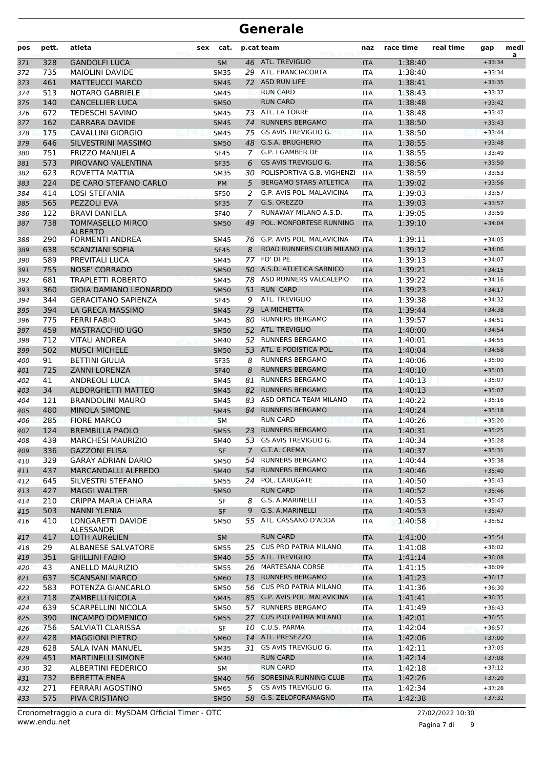| pos        | pett.      | atleta                                        | sex | cat.                       |                    | p.cat team                                                  | naz                      | race time          | real time | gap                  | medi<br>a |
|------------|------------|-----------------------------------------------|-----|----------------------------|--------------------|-------------------------------------------------------------|--------------------------|--------------------|-----------|----------------------|-----------|
| 371        | 328        | <b>GANDOLFI LUCA</b>                          |     | <b>SM</b>                  |                    | 46 ATL. TREVIGLIO                                           | <b>ITA</b>               | 1:38:40            |           | $+33:34$             |           |
| 372        | 735        | <b>MAIOLINI DAVIDE</b>                        |     | <b>SM35</b>                |                    | 29 ATL. FRANCIACORTA                                        | <b>ITA</b>               | 1:38:40            |           | $+33:34$             |           |
| 373        | 461        | <b>MATTEUCCI MARCO</b>                        |     | <b>SM45</b>                |                    | 72 ASD RUN LIFE                                             | <b>ITA</b>               | 1:38:41            |           | $+33:35$             |           |
| 374        | 513        | <b>NOTARO GABRIELE</b>                        |     | SM45                       |                    | <b>RUN CARD</b>                                             | <b>ITA</b>               | 1:38:43            |           | $+33:37$             |           |
| 375        | 140        | <b>CANCELLIER LUCA</b>                        |     | <b>SM50</b>                |                    | <b>RUN CARD</b>                                             | <b>ITA</b>               | 1:38:48            |           | $+33:42$             |           |
| 376        | 672        | <b>TEDESCHI SAVINO</b>                        |     | <b>SM45</b>                |                    | 73 ATL. LA TORRE                                            | <b>ITA</b>               | 1:38:48            |           | $+33:42$             |           |
| 377        | 162        | <b>CARRARA DAVIDE</b>                         |     | <b>SM45</b>                | 74                 | <b>RUNNERS BERGAMO</b>                                      | <b>ITA</b>               | 1:38:50            |           | $+33:43$             |           |
| 378        | 175        | <b>CAVALLINI GIORGIO</b>                      |     | <b>SM45</b>                | 75                 | GS AVIS TREVIGLIO G.                                        | <b>ITA</b>               | 1:38:50            |           | $+33:44$             |           |
| 379        | 646        | SILVESTRINI MASSIMO                           |     | <b>SM50</b>                |                    | 48 G.S.A. BRUGHERIO                                         | <b>ITA</b>               | 1:38:55            |           | $+33:48$             |           |
| 380        | 751        | <b>FRIZZO MANUELA</b>                         |     | <b>SF45</b>                | 7                  | G.P. I GAMBER DE                                            | <b>ITA</b>               | 1:38:55            |           | $+33:49$             |           |
| 381        | 573        | PIROVANO VALENTINA                            |     | <b>SF35</b>                | 6                  | <b>GS AVIS TREVIGLIO G.</b>                                 | <b>ITA</b>               | 1:38:56            |           | $+33:50$             |           |
| 382        | 623        | ROVETTA MATTIA                                |     | <b>SM35</b>                | 30                 | POLISPORTIVA G.B. VIGHENZI<br><b>BERGAMO STARS ATLETICA</b> | <b>ITA</b>               | 1:38:59            |           | $+33:53$<br>$+33:56$ |           |
| 383        | 224<br>414 | DE CARO STEFANO CARLO                         |     | PM                         | 5                  | G.P. AVIS POL. MALAVICINA                                   | <b>ITA</b>               | 1:39:02            |           |                      |           |
| 384        | 565        | <b>LOSI STEFANIA</b><br>PEZZOLI EVA           |     | <b>SF50</b>                | 2<br>$\mathcal{I}$ | G.S. OREZZO                                                 | ITA                      | 1:39:03<br>1:39:03 |           | $+33:57$<br>$+33:57$ |           |
| 385<br>386 | 122        | <b>BRAVI DANIELA</b>                          |     | <b>SF35</b><br><b>SF40</b> | 7                  | RUNAWAY MILANO A.S.D.                                       | <b>ITA</b><br><b>ITA</b> | 1:39:05            |           | $+33:59$             |           |
| 387        | 738        | <b>TOMMASELLO MIRCO</b>                       |     | <b>SM50</b>                | 49                 | POL. MONFORTESE RUNNING                                     | <b>ITA</b>               | 1:39:10            |           | $+34:04$             |           |
|            |            | <b>ALBERTO</b>                                |     |                            |                    |                                                             |                          |                    |           |                      |           |
| 388        | 290        | <b>FORMENTI ANDREA</b>                        |     | SM45                       |                    | 76 G.P. AVIS POL. MALAVICINA                                | <b>ITA</b>               | 1:39:11            |           | $+34:05$             |           |
| 389        | 638        | <b>SCANZIANI SOFIA</b>                        |     | <b>SF45</b>                | 8                  | ROAD RUNNERS CLUB MILANO ITA                                |                          | 1:39:12            |           | $+34:06$             |           |
| 390        | 589        | PREVITALI LUCA                                |     | SM45                       | 77                 | FO' DI PE                                                   | <b>ITA</b>               | 1:39:13            |           | $+34:07$             |           |
| 391        | 755        | <b>NOSE' CORRADO</b>                          |     | <b>SM50</b>                |                    | 50 A.S.D. ATLETICA SARNICO                                  | <b>ITA</b>               | 1:39:21            |           | $+34:15$             |           |
| 392        | 681        | <b>TRAPLETTI ROBERTO</b>                      |     | SM45                       |                    | 78 ASD RUNNERS VALCALEPIO                                   | <b>ITA</b>               | 1:39:22            |           | $+34:16$             |           |
| 393        | 360        | <b>GIOIA DAMIANO LEONARDO</b>                 |     | <b>SM50</b>                | 51                 | <b>RUN CARD</b>                                             | <b>ITA</b>               | 1:39:23            |           | $+34:17$             |           |
| 394        | 344        | <b>GERACITANO SAPIENZA</b>                    |     | <b>SF45</b>                | 9                  | ATL. TREVIGLIO                                              | <b>ITA</b>               | 1:39:38            |           | $+34:32$             |           |
| 395        | 394        | LA GRECA MASSIMO                              |     | <b>SM45</b>                | 79                 | LA MICHETTA                                                 | <b>ITA</b>               | 1:39:44            |           | $+34:38$             |           |
| 396        | 775        | <b>FERRI FABIO</b>                            |     | SM45                       | 80                 | <b>RUNNERS BERGAMO</b>                                      | <b>ITA</b>               | 1:39:57            |           | $+34:51$             |           |
| 397        | 459        | <b>MASTRACCHIO UGO</b>                        |     | <b>SM50</b>                |                    | 52 ATL. TREVIGLIO                                           | <b>ITA</b>               | 1:40:00            |           | $+34:54$             |           |
| 398        | 712        | <b>VITALI ANDREA</b>                          |     | <b>SM40</b>                | 52                 | <b>RUNNERS BERGAMO</b><br>53 ATL. E PODISTICA POL.          | <b>ITA</b>               | 1:40:01            |           | $+34:55$             |           |
| 399        | 502<br>91  | <b>MUSCI MICHELE</b>                          |     | <b>SM50</b>                |                    | <b>RUNNERS BERGAMO</b>                                      | <b>ITA</b>               | 1:40:04            |           | $+34:58$             |           |
| 400        | 725        | <b>BETTINI GIULIA</b><br><b>ZANNI LORENZA</b> |     | <b>SF35</b><br><b>SF40</b> | 8<br>8             | <b>RUNNERS BERGAMO</b>                                      | <b>ITA</b><br><b>ITA</b> | 1:40:06<br>1:40:10 |           | $+35:00$<br>$+35:03$ |           |
| 401<br>402 | 41         | <b>ANDREOLI LUCA</b>                          |     | SM45                       | 81                 | <b>RUNNERS BERGAMO</b>                                      | <b>ITA</b>               | 1:40:13            |           | $+35:07$             |           |
| 403        | 34         | ALBORGHETTI MATTEO                            |     | <b>SM45</b>                | 82                 | <b>RUNNERS BERGAMO</b>                                      | <b>ITA</b>               | 1:40:13            |           | $+35:07$             |           |
| 404        | 121        | <b>BRANDOLINI MAURO</b>                       |     | SM45                       | 83                 | ASD ORTICA TEAM MILANO                                      | <b>ITA</b>               | 1:40:22            |           | $+35:16$             |           |
| 405        | 480        | <b>MINOLA SIMONE</b>                          |     | <b>SM45</b>                | 84                 | <b>RUNNERS BERGAMO</b>                                      | <b>ITA</b>               | 1:40:24            |           | $+35:18$             |           |
| 406        | 285        | <b>FIORE MARCO</b>                            |     | <b>SM</b>                  |                    | <b>RUN CARD</b>                                             | <b>ITA</b>               | 1:40:26            |           | $+35:20$             |           |
| 407        | 124        | <b>BREMBILLA PAOLO</b>                        |     | <b>SM55</b>                | 23                 | <b>RUNNERS BERGAMO</b>                                      | <b>ITA</b>               | 1:40:31            |           | $+35:25$             |           |
| 408        | 439        | <b>MARCHESI MAURIZIO</b>                      |     | SM40                       | 53                 | <b>GS AVIS TREVIGLIO G.</b>                                 | <b>ITA</b>               | 1:40:34            |           | $+35:28$             |           |
| 409        | 336        | <b>GAZZONI ELISA</b>                          |     | <b>SF</b>                  | 7                  | G.T.A. CREMA                                                | <b>ITA</b>               | 1:40:37            |           | $+35:31$             |           |
| 410        | 329        | <b>GARAY ADRIAN DARIO</b>                     |     | <b>SM50</b>                |                    | 54 RUNNERS BERGAMO                                          | <b>ITA</b>               | 1:40:44            |           | $+35:38$             |           |
| 411        | 437        | <b>MARCANDALLI ALFREDO</b>                    |     | <b>SM40</b>                | 54                 | <b>RUNNERS BERGAMO</b>                                      | <b>ITA</b>               | 1:40:46            |           | $+35:40$             |           |
| 412        | 645        | SILVESTRI STEFANO                             |     | SM55                       |                    | 24 POL. CARUGATE                                            | ITA                      | 1:40:50            |           | $+35:43$             |           |
| 413        | 427        | <b>MAGGI WALTER</b>                           |     | <b>SM50</b>                |                    | <b>RUN CARD</b>                                             | <b>ITA</b>               | 1:40:52            |           | $+35:46$             |           |
| 414        | 210        | CRIPPA MARIA CHIARA                           |     | SF                         | 8                  | G.S. A.MARINELLI                                            | ITA                      | 1:40:53            |           | $+35:47$             |           |
| 415        | 503        | <b>NANNI YLENIA</b>                           |     | <b>SF</b>                  | 9                  | G.S. A.MARINELLI                                            | <b>ITA</b>               | 1:40:53            |           | $+35:47$             |           |
| 416        | 410        | LONGARETTI DAVIDE<br>ALESSANDR                |     | <b>SM50</b>                |                    | 55 ATL. CASSANO D'ADDA                                      | ITA                      | 1:40:58            |           | $+35:52$             |           |
| 417        | 417        | LOTH AURÉLIEN                                 |     | <b>SM</b>                  |                    | <b>RUN CARD</b>                                             | <b>ITA</b>               | 1:41:00            |           | $+35:54$             |           |
| 418        | 29         | ALBANESE SALVATORE                            |     | <b>SM55</b>                |                    | 25 CUS PRO PATRIA MILANO                                    | ITA                      | 1:41:08            |           | $+36:02$             |           |
| 419        | 351        | <b>GHILLINI FABIO</b>                         |     | <b>SM40</b>                |                    | 55 ATL. TREVIGLIO                                           | <b>ITA</b>               | 1:41:14            |           | $+36:08$             |           |
| 420        | 43         | <b>ANELLO MAURIZIO</b>                        |     | <b>SM55</b>                | 26                 | MARTESANA CORSE                                             | <b>ITA</b>               | 1:41:15            |           | $+36:09$             |           |
| 421        | 637        | <b>SCANSANI MARCO</b>                         |     | <b>SM60</b>                | 13                 | <b>RUNNERS BERGAMO</b>                                      | <b>ITA</b>               | 1:41:23            |           | $+36:17$             |           |
| 422        | 583        | POTENZA GIANCARLO                             |     | SM50                       |                    | 56 CUS PRO PATRIA MILANO                                    | ITA                      | 1:41:36            |           | $+36:30$             |           |
| 423        | 718        | <b>ZAMBELLI NICOLA</b>                        |     | <b>SM45</b>                |                    | 85 G.P. AVIS POL. MALAVICINA                                | <b>ITA</b>               | 1:41:41            |           | $+36:35$             |           |
| 424        | 639        | <b>SCARPELLINI NICOLA</b>                     |     | <b>SM50</b>                |                    | 57 RUNNERS BERGAMO                                          | ITA                      | 1:41:49            |           | $+36:43$             |           |
| 425        | 390        | <b>INCAMPO DOMENICO</b>                       |     | <b>SM55</b>                | 27                 | <b>CUS PRO PATRIA MILANO</b>                                | <b>ITA</b>               | 1:42:01            |           | $+36:55$             |           |
| 426        | 756        | SALVIATI CLARISSA                             |     | <b>SF</b>                  |                    | 10 C.U.S. PARMA                                             | <b>ITA</b>               | 1:42:04            |           | $+36:57$             |           |
| 427        | 428        | <b>MAGGIONI PIETRO</b>                        |     | <b>SM60</b>                |                    | 14 ATL. PRESEZZO                                            | <b>ITA</b>               | 1:42:06            |           | $+37:00$             |           |
| 428        | 628        | SALA IVAN MANUEL                              |     | <b>SM35</b>                |                    | 31 GS AVIS TREVIGLIO G.                                     | ITA                      | 1:42:11            |           | $+37:05$             |           |
| 429        | 451        | <b>MARTINELLI SIMONE</b>                      |     | <b>SM40</b>                |                    | <b>RUN CARD</b>                                             | <b>ITA</b>               | 1:42:14            |           | $+37:08$             |           |
| 430        | 32         | <b>ALBERTINI FEDERICO</b>                     |     | SM                         |                    | <b>RUN CARD</b>                                             | ITA                      | 1:42:18            |           | $+37:12$             |           |
| 431        | 732        | <b>BERETTA ENEA</b>                           |     | <b>SM40</b>                | 56                 | SORESINA RUNNING CLUB                                       | <b>ITA</b>               | 1:42:26            |           | $+37:20$             |           |
| 432        | 271        | FERRARI AGOSTINO                              |     | SM65                       | 5                  | GS AVIS TREVIGLIO G.                                        | ITA                      | 1:42:34            |           | $+37:28$             |           |
| 433        | 575        | PIVA CRISTIANO                                |     | <b>SM50</b>                |                    | 58 G.S. ZELOFORAMAGNO                                       | <b>ITA</b>               | 1:42:38            |           | $+37:32$             |           |

www.endu.net Cronometraggio a cura di: MySDAM Official Timer - OTC 27/02/2022 10:30

Pagina 7 di 9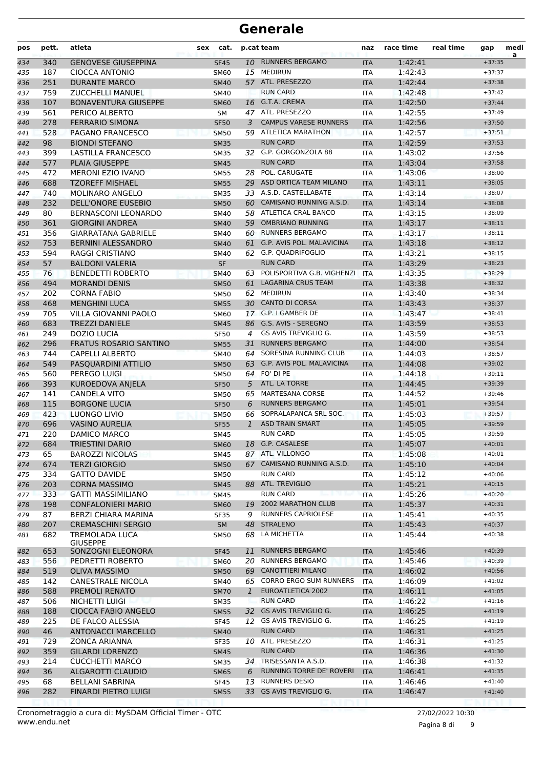| pos | pett. | atleta                        | sex | cat.        |              | p.cat team                       | naz        | race time | real time | gap      | medi<br>a |
|-----|-------|-------------------------------|-----|-------------|--------------|----------------------------------|------------|-----------|-----------|----------|-----------|
| 434 | 340   | <b>GENOVESE GIUSEPPINA</b>    |     | <b>SF45</b> |              | 10 RUNNERS BERGAMO               | <b>ITA</b> | 1:42:41   |           | $+37:35$ |           |
| 435 | 187   | <b>CIOCCA ANTONIO</b>         |     | SM60        |              | 15 MEDIRUN                       | <b>ITA</b> | 1:42:43   |           | $+37:37$ |           |
| 436 | 251   | <b>DURANTE MARCO</b>          |     | <b>SM40</b> |              | 57 ATL. PRESEZZO                 | <b>ITA</b> | 1:42:44   |           | $+37:38$ |           |
| 437 | 759   | <b>ZUCCHELLI MANUEL</b>       |     | <b>SM40</b> |              | <b>RUN CARD</b>                  | <b>ITA</b> | 1:42:48   |           | $+37:42$ |           |
| 438 | 107   | <b>BONAVENTURA GIUSEPPE</b>   |     | <b>SM60</b> |              | 16 G.T.A. CREMA                  | <b>ITA</b> | 1:42:50   |           | $+37:44$ |           |
| 439 | 561   | PERICO ALBERTO                |     | <b>SM</b>   |              | 47 ATL. PRESEZZO                 | <b>ITA</b> | 1:42:55   |           | $+37:49$ |           |
| 440 | 278   | <b>FERRARIO SIMONA</b>        |     | <b>SF50</b> | 3            | <b>CAMPUS VARESE RUNNERS</b>     | <b>ITA</b> | 1:42:56   |           | $+37:50$ |           |
| 441 | 528   | PAGANO FRANCESCO              |     | <b>SM50</b> |              | 59 ATLETICA MARATHON             | <b>ITA</b> | 1:42:57   |           | $+37:51$ |           |
| 442 | 98    | <b>BIONDI STEFANO</b>         |     | <b>SM35</b> |              | <b>RUN CARD</b>                  | <b>ITA</b> | 1:42:59   |           | $+37:53$ |           |
| 443 | 399   | <b>LASTILLA FRANCESCO</b>     |     | <b>SM35</b> |              | 32 G.P. GORGONZOLA 88            | <b>ITA</b> | 1:43:02   |           | $+37:56$ |           |
| 444 | 577   | <b>PLAIA GIUSEPPE</b>         |     | <b>SM45</b> |              | <b>RUN CARD</b>                  | <b>ITA</b> | 1:43:04   |           | $+37:58$ |           |
| 445 | 472   | MERONI EZIO IVANO             |     | <b>SM55</b> |              | 28 POL. CARUGATE                 | ITA        | 1:43:06   |           | $+38:00$ |           |
| 446 | 688   | <b>TZOREFF MISHAEL</b>        |     | <b>SM55</b> |              | 29 ASD ORTICA TEAM MILANO        | <b>ITA</b> | 1:43:11   |           | $+38:05$ |           |
| 447 | 740   | <b>MOLINARO ANGELO</b>        |     | <b>SM35</b> |              | 33 A.S.D. CASTELLABATE           | <b>ITA</b> | 1:43:14   |           | $+38:07$ |           |
| 448 | 232   | <b>DELL'ONORE EUSEBIO</b>     |     | <b>SM50</b> | 60           | CAMISANO RUNNING A.S.D.          | <b>ITA</b> | 1:43:14   |           | $+38:08$ |           |
| 449 | 80    | <b>BERNASCONI LEONARDO</b>    |     | <b>SM40</b> |              | 58 ATLETICA CRAL BANCO           | <b>ITA</b> | 1:43:15   |           | $+38:09$ |           |
| 450 | 361   | <b>GIORGINI ANDREA</b>        |     | <b>SM40</b> |              | 59 OMBRIANO RUNNING              | <b>ITA</b> | 1:43:17   |           | $+38:11$ |           |
| 451 | 356   | <b>GIARRATANA GABRIELE</b>    |     | SM40        |              | 60 RUNNERS BERGAMO               | <b>ITA</b> | 1:43:17   |           | $+38:11$ |           |
| 452 | 753   | <b>BERNINI ALESSANDRO</b>     |     | <b>SM40</b> | 61           | <b>G.P. AVIS POL. MALAVICINA</b> | <b>ITA</b> | 1:43:18   |           | $+38:12$ |           |
| 453 | 594   | <b>RAGGI CRISTIANO</b>        |     | SM40        |              | 62 G.P. QUADRIFOGLIO             | <b>ITA</b> | 1:43:21   |           | $+38:15$ |           |
| 454 | 57    | <b>BALDONI VALERIA</b>        |     | <b>SF</b>   |              | <b>RUN CARD</b>                  | <b>ITA</b> | 1:43:29   |           | $+38:23$ |           |
| 455 | 76    | <b>BENEDETTI ROBERTO</b>      |     | <b>SM40</b> | 63           | POLISPORTIVA G.B. VIGHENZI       | <b>ITA</b> | 1:43:35   |           | $+38:29$ |           |
| 456 | 494   | <b>MORANDI DENIS</b>          |     | <b>SM50</b> | 61           | <b>LAGARINA CRUS TEAM</b>        | <b>ITA</b> | 1:43:38   |           | $+38:32$ |           |
| 457 | 202   | <b>CORNA FABIO</b>            |     | <b>SM50</b> | 62           | <b>MEDIRUN</b>                   | ITA        | 1:43:40   |           | $+38:34$ |           |
| 458 | 468   | <b>MENGHINI LUCA</b>          |     | <b>SM55</b> |              | 30 CANTO DI CORSA                | <b>ITA</b> | 1:43:43   |           | $+38:37$ |           |
| 459 | 705   | <b>VILLA GIOVANNI PAOLO</b>   |     | SM60        |              | 17 G.P. I GAMBER DE              | <b>ITA</b> | 1:43:47   |           | $+38:41$ |           |
| 460 | 683   | <b>TREZZI DANIELE</b>         |     | <b>SM45</b> |              | 86 G.S. AVIS - SEREGNO           | <b>ITA</b> | 1:43:59   |           | $+38:53$ |           |
| 461 | 249   | <b>DOZIO LUCIA</b>            |     | <b>SF50</b> | 4            | GS AVIS TREVIGLIO G.             | <b>ITA</b> | 1:43:59   |           | $+38:53$ |           |
| 462 | 296   | <b>FRATUS ROSARIO SANTINO</b> |     | <b>SM55</b> | 31           | <b>RUNNERS BERGAMO</b>           | <b>ITA</b> | 1:44:00   |           | $+38:54$ |           |
| 463 | 744   | <b>CAPELLI ALBERTO</b>        |     | <b>SM40</b> | 64           | SORESINA RUNNING CLUB            | <b>ITA</b> | 1:44:03   |           | $+38:57$ |           |
| 464 | 549   | PASQUARDINI ATTILIO           |     | <b>SM50</b> |              | 63 G.P. AVIS POL. MALAVICINA     | <b>ITA</b> | 1:44:08   |           | $+39:02$ |           |
| 465 | 560   | PEREGO LUIGI                  |     | <b>SM50</b> |              | 64 FO' DI PE                     | <b>ITA</b> | 1:44:18   |           | $+39:11$ |           |
| 466 | 393   | KUROEDOVA ANJELA              |     | <b>SF50</b> | 5            | ATL. LA TORRE                    | <b>ITA</b> | 1:44:45   |           | $+39:39$ |           |
| 467 | 141   | <b>CANDELA VITO</b>           |     | SM50        | 65           | <b>MARTESANA CORSE</b>           | <b>ITA</b> | 1:44:52   |           | $+39:46$ |           |
| 468 | 115   | <b>BORGONE LUCIA</b>          |     | <b>SF50</b> | 6            | <b>RUNNERS BERGAMO</b>           | <b>ITA</b> | 1:45:01   |           | $+39:54$ |           |
| 469 | 423   | LUONGO LIVIO                  |     | <b>SM50</b> | 66           | SOPRALAPANCA SRL SOC.            | <b>ITA</b> | 1:45:03   |           | $+39:57$ |           |
| 470 | 696   | <b>VASINO AURELIA</b>         |     | <b>SF55</b> | $\mathbf{1}$ | <b>ASD TRAIN SMART</b>           | <b>ITA</b> | 1:45:05   |           | $+39:59$ |           |
| 471 | 220   | DAMICO MARCO                  |     | SM45        |              | <b>RUN CARD</b>                  | <b>ITA</b> | 1:45:05   |           | $+39:59$ |           |
| 472 | 684   | <b>TRIESTINI DARIO</b>        |     | <b>SM60</b> |              | 18 G.P. CASALESE                 | <b>ITA</b> | 1:45:07   |           | $+40:01$ |           |
| 473 | 65    | <b>BAROZZI NICOLAS</b>        |     | SM45        |              | 87 ATL. VILLONGO                 | ITA        | 1:45:08   |           | $+40:01$ |           |
| 474 | 674   | <b>TERZI GIORGIO</b>          |     | <b>SM50</b> |              | 67 CAMISANO RUNNING A.S.D.       | <b>ITA</b> | 1:45:10   |           | $+40:04$ |           |
| 475 | 334   | <b>GATTO DAVIDE</b>           |     | <b>SM50</b> |              | <b>RUN CARD</b>                  | ITA        | 1:45:12   |           | $+40:06$ |           |
| 476 | 203   | <b>CORNA MASSIMO</b>          |     | <b>SM45</b> |              | 88 ATL. TREVIGLIO                | <b>ITA</b> | 1:45:21   |           | $+40:15$ |           |
| 477 | 333   | <b>GATTI MASSIMILIANO</b>     |     | <b>SM45</b> |              | <b>RUN CARD</b>                  | ITA        | 1:45:26   |           | $+40:20$ |           |
| 478 | 198   | <b>CONFALONIERI MARIO</b>     |     | <b>SM60</b> | 19           | 2002 MARATHON CLUB               | <b>ITA</b> | 1:45:37   |           | $+40:31$ |           |
| 479 | 87    | <b>BERZI CHIARA MARINA</b>    |     | <b>SF35</b> | 9            | RUNNERS CAPRIOLESE               | ITA        | 1:45:41   |           | $+40:35$ |           |
| 480 | 207   | <b>CREMASCHINI SERGIO</b>     |     | <b>SM</b>   |              | 48 STRALENO                      | <b>ITA</b> | 1:45:43   |           | $+40:37$ |           |
| 481 | 682   | TREMOLADA LUCA                |     | SM50        | 68           | LA MICHETTA                      | ITA        | 1:45:44   |           | $+40:38$ |           |
|     |       | <b>GIUSEPPE</b>               |     |             |              |                                  |            |           |           |          |           |
| 482 | 653   | SONZOGNI ELEONORA             |     | <b>SF45</b> | 11           | <b>RUNNERS BERGAMO</b>           | <b>ITA</b> | 1:45:46   |           | $+40:39$ |           |
| 483 | 556   | PEDRETTI ROBERTO              |     | <b>SM60</b> |              | 20 RUNNERS BERGAMO               | <b>ITA</b> | 1:45:46   |           | $+40:39$ |           |
| 484 | 519   | <b>OLIVA MASSIMO</b>          |     | <b>SM50</b> |              | 69 CANOTTIERI MILANO             | <b>ITA</b> | 1:46:02   |           | $+40:56$ |           |
| 485 | 142   | CANESTRALE NICOLA             |     | SM40        |              | 65 CORRO ERGO SUM RUNNERS        | <b>ITA</b> | 1:46:09   |           | $+41:02$ |           |
| 486 | 588   | PREMOLI RENATO                |     | <b>SM70</b> | $\mathbf{1}$ | EUROATLETICA 2002                | <b>ITA</b> | 1:46:11   |           | $+41:05$ |           |
| 487 | 506   | NICHETTI LUIGI                |     | SM35        |              | <b>RUN CARD</b>                  | ITA        | 1:46:22   |           | $+41:16$ |           |
| 488 | 188   | <b>CIOCCA FABIO ANGELO</b>    |     | <b>SM55</b> |              | 32 GS AVIS TREVIGLIO G.          | <b>ITA</b> | 1:46:25   |           | $+41:19$ |           |
| 489 | 225   | DE FALCO ALESSIA              |     | SF45        |              | 12 GS AVIS TREVIGLIO G.          | <b>ITA</b> | 1:46:25   |           | $+41:19$ |           |
| 490 | 46    | <b>ANTONACCI MARCELLO</b>     |     | <b>SM40</b> |              | <b>RUN CARD</b>                  | <b>ITA</b> | 1:46:31   |           | $+41:25$ |           |
| 491 | 729   | ZONCA ARIANNA                 |     | <b>SF35</b> |              | 10 ATL. PRESEZZO                 | <b>ITA</b> | 1:46:31   |           | $+41:25$ |           |
| 492 | 359   | <b>GILARDI LORENZO</b>        |     | <b>SM45</b> |              | <b>RUN CARD</b>                  | <b>ITA</b> | 1:46:36   |           | $+41:30$ |           |
| 493 | 214   | <b>CUCCHETTI MARCO</b>        |     | <b>SM35</b> |              | 34 TRISESSANTA A.S.D.            | ITA        | 1:46:38   |           | $+41:32$ |           |
| 494 | 36    | ALGAROTTI CLAUDIO             |     | <b>SM65</b> | 6            | RUNNING TORRE DE' ROVERI         | <b>ITA</b> | 1:46:41   |           | $+41:35$ |           |
| 495 | 68    | <b>BELLANI SABRINA</b>        |     | <b>SF45</b> |              | 13 RUNNERS DESIO                 | ITA        | 1:46:46   |           | $+41:40$ |           |
| 496 | 282   | FINARDI PIETRO LUIGI          |     | <b>SM55</b> |              | 33 GS AVIS TREVIGLIO G.          | <b>ITA</b> | 1:46:47   |           | $+41:40$ |           |
|     |       |                               |     |             |              |                                  |            |           |           |          |           |

Pagina 8 di 9